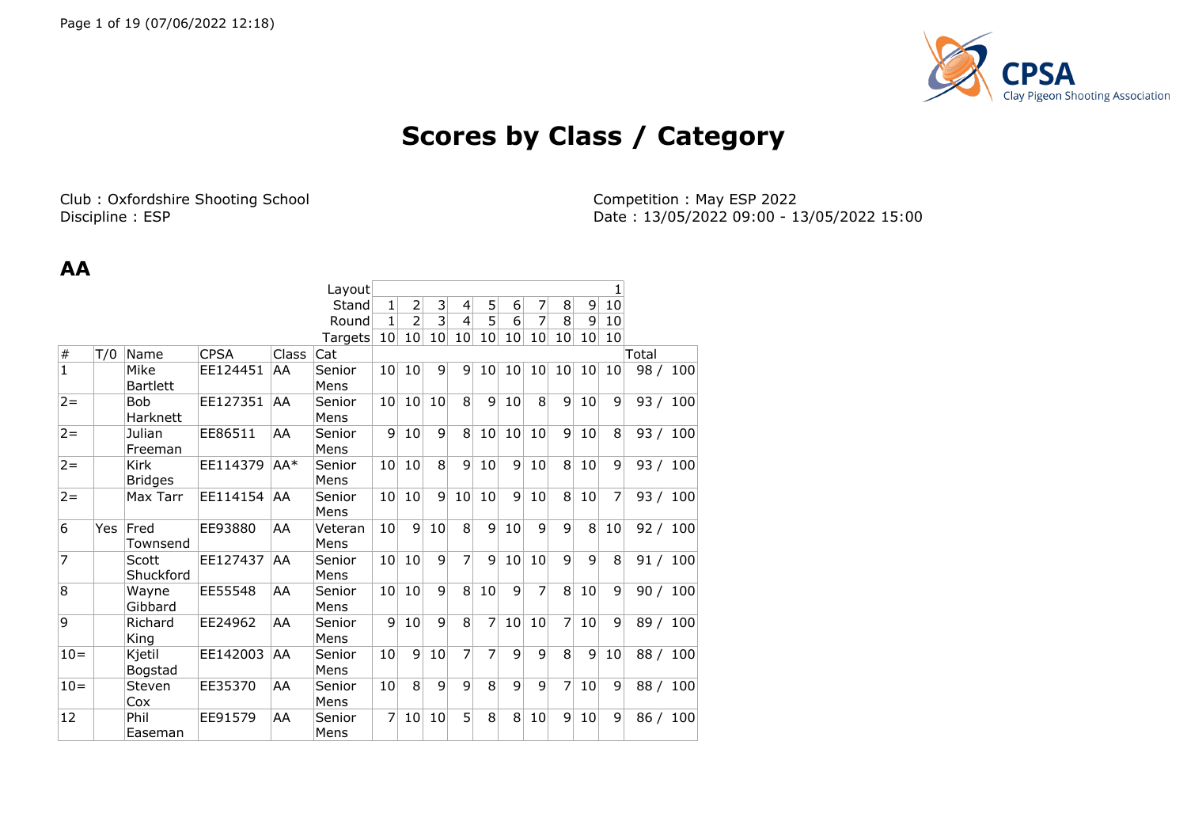

# **Scores by Class / Category**

Club : Oxfordshire Shooting School Club : Oxfordshire Shooting School Competition : May ESP 2022<br>Discipline : ESP Discipline : ESP

Date: 13/05/2022 09:00 - 13/05/2022 15:00

#### **AA**

|                |     |                               |             |              | Layout          |                 |                 |                 |                |              |              |                |                 |                 | 1               |          |     |
|----------------|-----|-------------------------------|-------------|--------------|-----------------|-----------------|-----------------|-----------------|----------------|--------------|--------------|----------------|-----------------|-----------------|-----------------|----------|-----|
|                |     |                               |             |              | Stand           | 1               | 2               | 3               | 4              | 5            | 6            | 7              | 8               | 9               | 10              |          |     |
|                |     |                               |             |              | Round           | 1               | $\overline{2}$  | $\overline{3}$  | $\overline{4}$ | 5            | 6            | 7              | 8               | 9               | 10              |          |     |
|                |     |                               |             |              | Targets         | 10              | 10              | 10              | 10             | 10           | 10           | 10             | 10              | 10              | 10              |          |     |
| $\#$           | T/0 | Name                          | <b>CPSA</b> | <b>Class</b> | Cat             |                 |                 |                 |                |              |              |                |                 |                 |                 | Total    |     |
| $\mathbf{1}$   |     | Mike<br><b>Bartlett</b>       | EE124451    | AA           | Senior<br>Mens  | 10              | 10              | $\vert 9 \vert$ | 9              | 10           | 10           | 10             | 10 <sup>1</sup> | 10 <sup>1</sup> | 10              | 98 /     | 100 |
| $2 =$          |     | <b>Bob</b><br>Harknett        | EE127351    | AA           | Senior<br>Mens  | 10 <sup>1</sup> | 10              | 10              | 8              | 9            | 10           | 8              | 9               | 10              | $\overline{9}$  | 93 / 100 |     |
| $2 =$          |     | Julian<br>Freeman             | EE86511     | AA           | Senior<br>Mens  | $\mathbf{q}$    | 10              | $\mathbf{q}$    | 8 <sup>1</sup> | 10           | 10           | 10             | 9               | 10              | 8               | 93/      | 100 |
| $2 =$          |     | <b>Kirk</b><br><b>Bridges</b> | EE114379    | $AA*$        | Senior<br>Mens  | 10              | 10              | 8               | 9              | 10           | 9            | 10             | 8               | 10              | 9               | 93/      | 100 |
| $2 =$          |     | Max Tarr                      | EE114154    | AA           | Senior<br>Mens  | 10              | 10              | $\vert 9 \vert$ | 10             | 10           | 9            | 10             | 8               | 10              | 7               | 93 / 100 |     |
| 6              | Yes | Fred<br>Townsend              | EE93880     | AA           | Veteran<br>Mens | 10 <sup>1</sup> | $\vert 9 \vert$ | 10              | 8              | 9            | 10           | 9              | 9               | 8               | 10              | 92 / 100 |     |
| $\overline{7}$ |     | Scott<br>Shuckford            | EE127437    | AA           | Senior<br>Mens  | 10              | 10              | 9               | $\overline{7}$ | $\mathsf{q}$ | 10           | 10             | $\overline{9}$  | 9               | 8               | 91 / 100 |     |
| 8              |     | Wayne<br>Gibbard              | EE55548     | AA           | Senior<br>Mens  | 10 <sup>1</sup> | 10              | $\mathbf{q}$    | 8              | 10           | $\mathbf{q}$ | $\overline{7}$ | 8               | 10              | 9               | 90/      | 100 |
| 9              |     | Richard<br>King               | EE24962     | AA           | Senior<br>Mens  | 9               | 10              | $\overline{9}$  | 8              | 7            | 10           | 10             | 7               | 10              | $\overline{9}$  | 89 / 100 |     |
| $10=$          |     | Kjetil<br><b>Bogstad</b>      | EE142003    | AA           | Senior<br>Mens  | 10              | $\vert$         | 10              | 7              | 7            | $\mathbf{q}$ | $\mathsf{q}$   | 8               | 9               | 10 <sup>1</sup> | 88/      | 100 |
| $10=$          |     | Steven<br>Cox                 | EE35370     | AA           | Senior<br>Mens  | 10              | $\overline{8}$  | 9               | 9              | 8            | 9            | $\mathsf{q}$   | 7               | 10              | 9               | 88/      | 100 |
| 12             |     | Phil<br>Easeman               | EE91579     | AA           | Senior<br>Mens  | 7               | 10              | 10              | 5              | 8            | 8            | 10             | 9               | 10              | 9               | 86/      | 100 |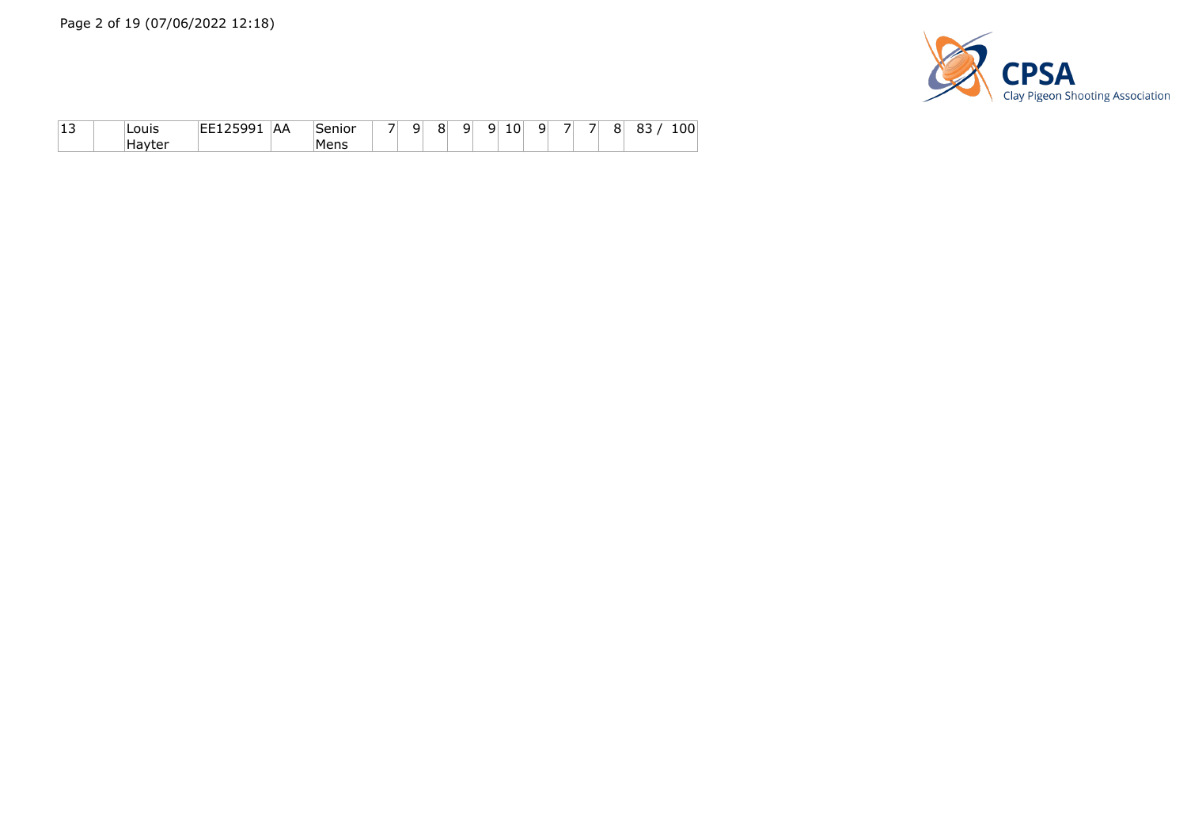

| -- | Louis         | <b>FF125001</b> | AΑ | -<br>. Senier | ⇁ | a | الت | ۹l | $\sim$<br>υ.<br>___ | O |  | 8 | $\sim$<br>⊥∪l' |
|----|---------------|-----------------|----|---------------|---|---|-----|----|---------------------|---|--|---|----------------|
|    | <b>Havter</b> |                 |    | ˈMens         |   |   |     |    |                     |   |  |   |                |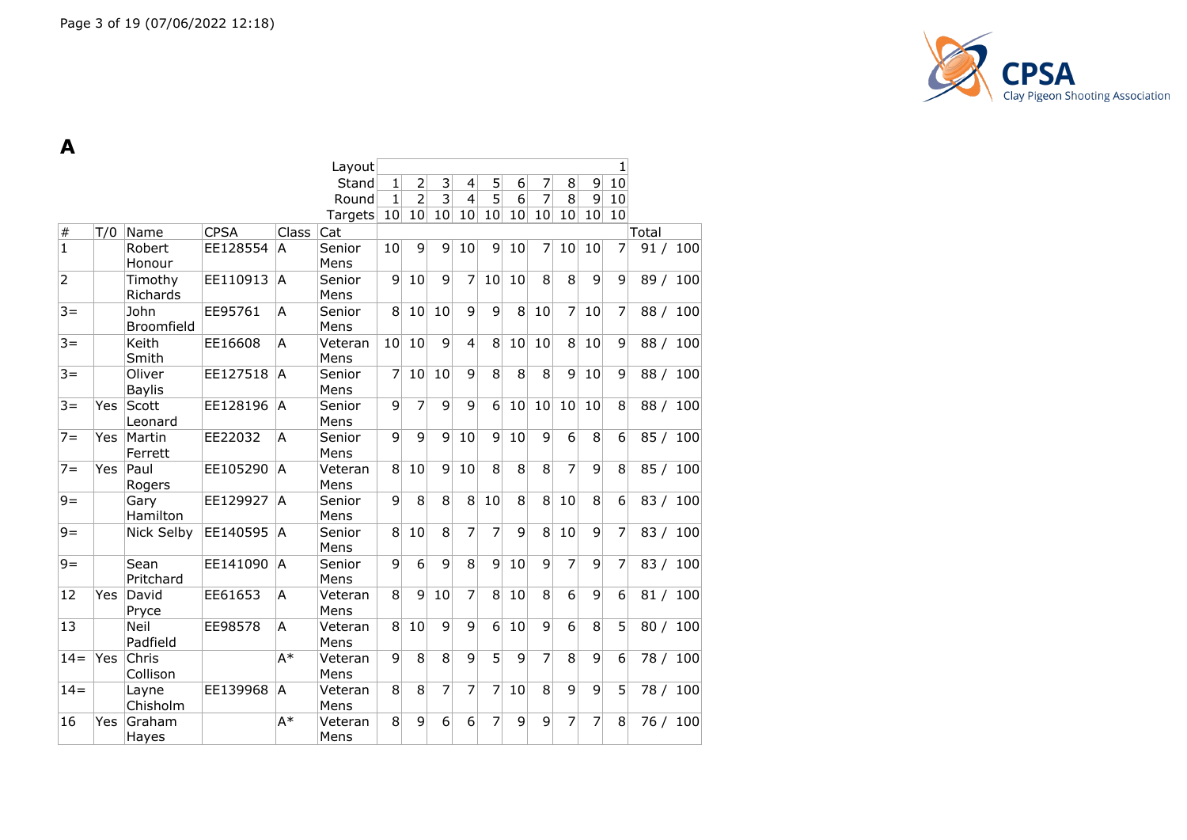

**A**

|                |            |                         |             |              | Layout          |                |                 |                |                |                |                |                 |                 |                | 1              |       |          |
|----------------|------------|-------------------------|-------------|--------------|-----------------|----------------|-----------------|----------------|----------------|----------------|----------------|-----------------|-----------------|----------------|----------------|-------|----------|
|                |            |                         |             |              | Stand           | $\mathbf{1}$   | 2               | 3              | 4              | 5              | 6              | 7               | 8               | 9              | 10             |       |          |
|                |            |                         |             |              | Round           | 1              | $\overline{2}$  | $\overline{3}$ | $\overline{4}$ | $\overline{5}$ | $\overline{6}$ | $\overline{7}$  | $\overline{8}$  | 9              | 10             |       |          |
|                |            |                         |             |              | Targets         | 10             | 10              | 10             | 10             | 10             | 10             | 10 <sup>1</sup> | 10              | 10             | 10             |       |          |
| $\#$           | T/0        | Name                    | <b>CPSA</b> | <b>Class</b> | Cat             |                |                 |                |                |                |                |                 |                 |                |                | Total |          |
| $\overline{1}$ |            | Robert<br>Honour        | EE128554    | A            | Senior<br>Mens  | 10             | 9               | 9              | 10             | 9              | 10             | $\overline{7}$  | 10 <sup>1</sup> | 10             | $\overline{7}$ |       | 91 / 100 |
| $\overline{2}$ |            | Timothy<br>Richards     | EE110913    | A            | Senior<br>Mens  | $\overline{9}$ | 10              | 9              | 7              | 10             | 10             | $\overline{8}$  | $\overline{8}$  | $\overline{9}$ | 9              |       | 89 / 100 |
| $3 =$          |            | John<br>Broomfield      | EE95761     | Α            | Senior<br>Mens  | 8              | 10              | 10             | 9              | 9              | 8              | 10              | $\overline{7}$  | 10             | 7              |       | 88 / 100 |
| $3 =$          |            | Keith<br>Smith          | EE16608     | Α            | Veteran<br>Mens | 10             | 10              | 9              | $\overline{4}$ | 8              | 10             | 10              | 8               | 10             | 9              |       | 88 / 100 |
| $3 =$          |            | Oliver<br><b>Baylis</b> | EE127518    | A            | Senior<br>Mens  | 7              | 10              | 10             | 9              | 8              | 8              | 8               | 9               | 10             | 9              |       | 88 / 100 |
| $3 =$          | Yes        | Scott<br>Leonard        | EE128196    | A            | Senior<br>Mens  | 9              | $\overline{7}$  | 9              | 9              | 6              | 10             | 10              | 10              | 10             | 8              |       | 88 / 100 |
| $7 =$          | Yes        | Martin<br>Ferrett       | EE22032     | Α            | Senior<br>Mens  | 9              | $\overline{9}$  | 9              | 10             | $\mathbf{q}$   | 10             | $\overline{9}$  | $6\overline{6}$ | $\overline{8}$ | 6              |       | 85 / 100 |
| $7 =$          | <b>Yes</b> | Paul<br>Rogers          | EE105290    | A            | Veteran<br>Mens | 8              | 10              | 9              | 10             | 8              | 8 <sup>°</sup> | 8               | $\overline{7}$  | 9              | 8              |       | 85 / 100 |
| $9=$           |            | Gary<br>Hamilton        | EE129927    | A            | Senior<br>Mens  | 9              | 8               | 8              | 8              | 10             | 8 <sup>°</sup> | 8               | 10              | 8              | 6              |       | 83 / 100 |
| $9=$           |            | Nick Selby              | EE140595    | A            | Senior<br>Mens  | 8              | 10              | 8              | 7              | $\overline{7}$ | 9              | 8               | 10              | 9              | $\overline{7}$ |       | 83 / 100 |
| $9=$           |            | Sean<br>Pritchard       | EE141090    | A            | Senior<br>Mens  | 9              | $6\overline{6}$ | 9              | 8              | 9              | 10             | 9               | $\overline{7}$  | 9              | 7              |       | 83 / 100 |
| 12             | <b>Yes</b> | David<br>Pryce          | EE61653     | A            | Veteran<br>Mens | 8              | 9               | 10             | $\overline{7}$ | 8              | 10             | 8               | 6               | 9              | 6              |       | 81 / 100 |
| 13             |            | Neil<br>Padfield        | EE98578     | A            | Veteran<br>Mens | 8              | 10              | 9              | 9              | $\overline{6}$ | 10             | $\overline{9}$  | $\overline{6}$  | 8              | 5              |       | 80 / 100 |
| $14=$          | Yes        | Chris<br>Collison       |             | $A^*$        | Veteran<br>Mens | $\mathsf{q}$   | 8               | 8              | 9              | $\overline{5}$ | 9              | $\overline{7}$  | $\overline{8}$  | 9              | 6              |       | 78 / 100 |
| $14 =$         |            | Layne<br>Chisholm       | EE139968    | A            | Veteran<br>Mens | 8              | 8               | 7              | 7              | $\overline{7}$ | 10             | 8               | 9               | 9              | 5              |       | 78 / 100 |
| 16             | Yes        | Graham<br>Hayes         |             | $A^*$        | Veteran<br>Mens | 8              | 9               | 6              | 6              | $\overline{7}$ | 9              | 9               | 7               | $\overline{7}$ | 8              |       | 76 / 100 |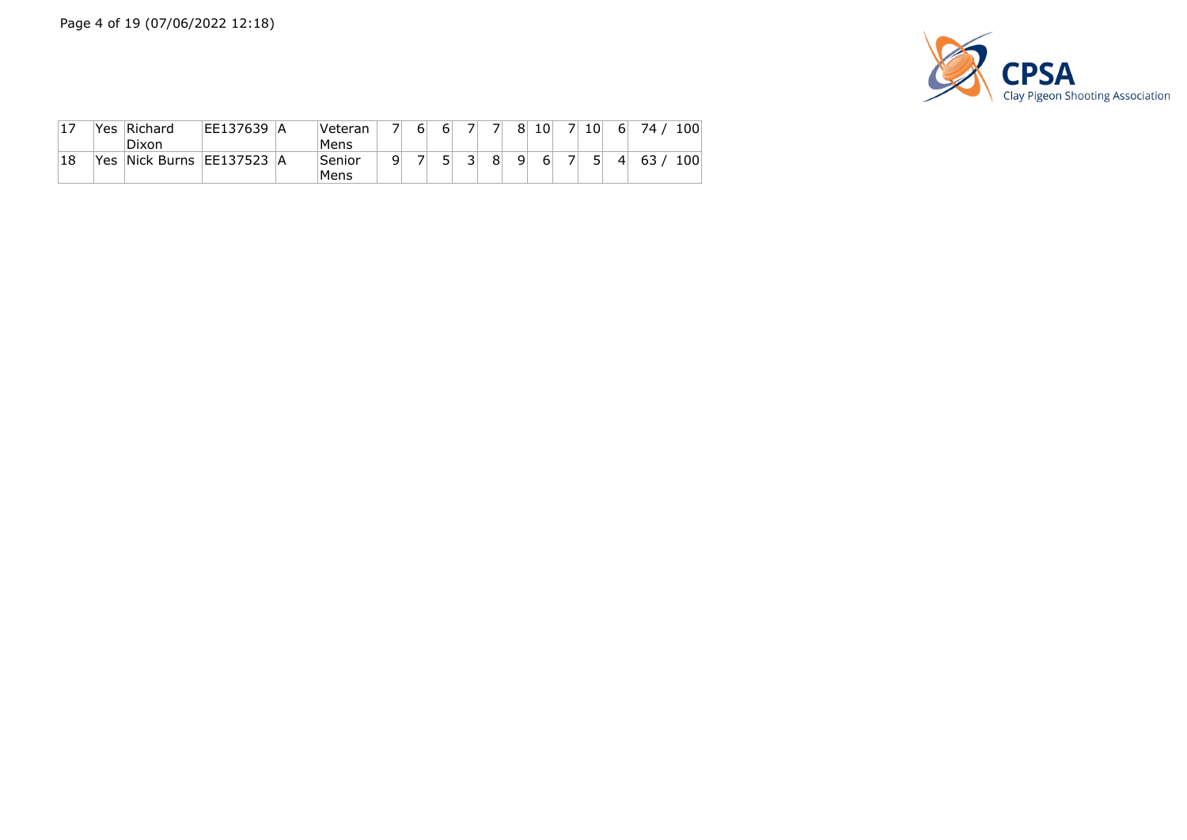

|    | Yes l | Richard        | EE137639 | Ά | Veteran |   | 6 | 6 |   | 8 | 10 | 10 | 6 | 74. | 100 |
|----|-------|----------------|----------|---|---------|---|---|---|---|---|----|----|---|-----|-----|
|    |       | Dixon          |          |   | Mens    |   |   |   |   |   |    |    |   |     |     |
| 18 |       | Yes Nick Burns | EE137523 |   | Senior  | a |   | J | o | q |    | ັ  |   | 63  | 100 |
|    |       |                |          |   | Mens    |   |   |   |   |   |    |    |   |     |     |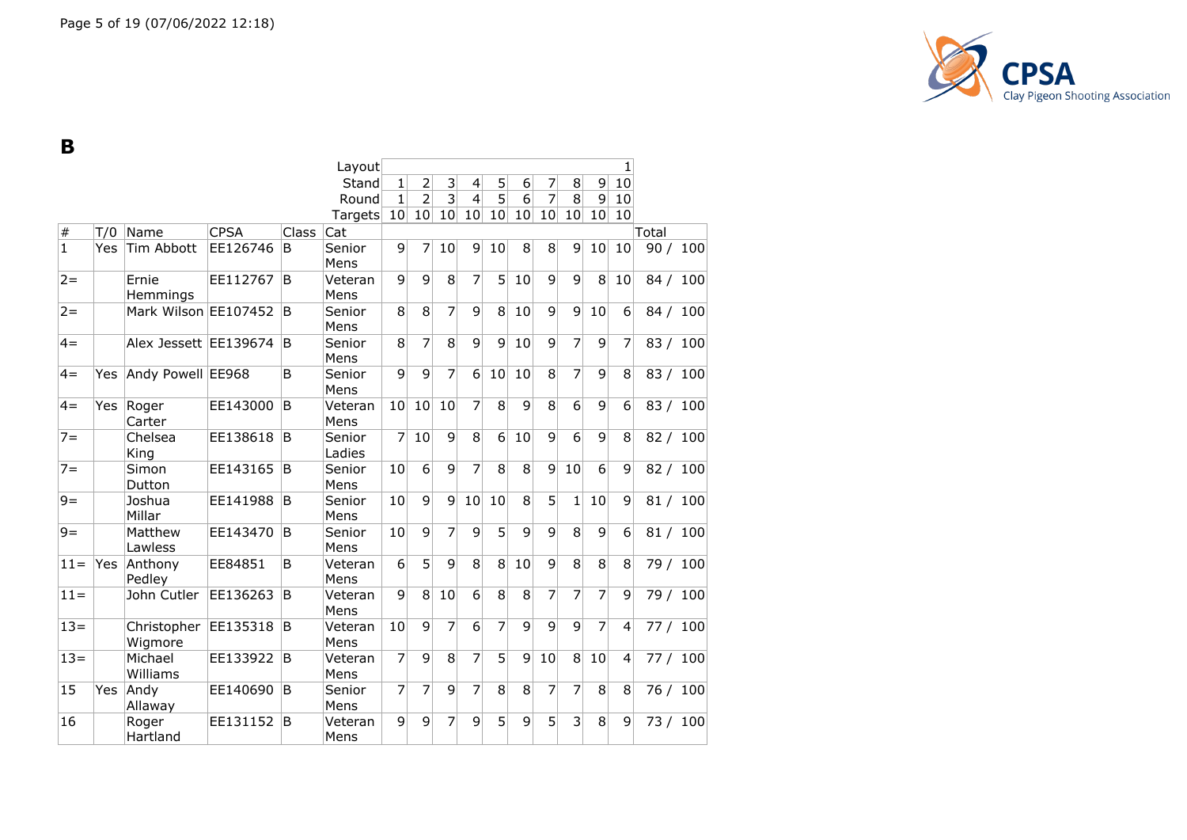

**B**

|        |      |                        |             |              | Layout           |                  |                |                |                 |                |                  |                |                |                | 1              |       |          |
|--------|------|------------------------|-------------|--------------|------------------|------------------|----------------|----------------|-----------------|----------------|------------------|----------------|----------------|----------------|----------------|-------|----------|
|        |      |                        |             |              | Stand            | 1                | $\overline{2}$ | $\vert$ 3      | $\vert 4 \vert$ | 5              | $6 \overline{6}$ | 7              | 8 <sup>1</sup> | 9              | 10             |       |          |
|        |      |                        |             |              | Round            | $\mathbf{1}$     | $\overline{2}$ | $\overline{3}$ | $\overline{4}$  | $\overline{5}$ | $\overline{6}$   | $\overline{7}$ | 8              | $\overline{9}$ | 10             |       |          |
|        |      |                        |             |              | Targets          | 10               | 10             | 10             | 10              | 10             | 10               | 10             | 10             | 10             | 10             |       |          |
| $\#$   | T/0  | Name                   | <b>CPSA</b> | <b>Class</b> | Cat              |                  |                |                |                 |                |                  |                |                |                |                | Total |          |
| 1      | Yes  | Tim Abbott             | EE126746    | B            | Senior<br>Mens   | 9                | 7              | 10             | $\vert 9 \vert$ | 10             | 8                | 8              | 9              | 10             | 10             |       | 90 / 100 |
| $2 =$  |      | Ernie<br>Hemmings      | EE112767    | B            | Veteran<br>Mens  | 9                | 9              | 8              | 7               | 5              | 10               | 9              | 9              | 8              | 10             |       | 84 / 100 |
| $2 =$  |      | Mark Wilson EE107452   |             | <sup>B</sup> | Senior<br>Mens   | 8                | 8              | 7              | 9               | 8              | 10               | 9              | 9              | 10             | 6              |       | 84 / 100 |
| $4=$   |      | Alex Jessett EE139674  |             | ΙB           | Senior<br>Mens   | 8                | $\overline{7}$ | $\overline{8}$ | 9               | 9              | 10               | $\overline{9}$ | 7              | 9              | 7              |       | 83 / 100 |
| $4 =$  | Yes  | Andy Powell EE968      |             | B            | Senior<br>Mens   | 9                | 9              | 7              | $6 \mid$        | 10             | 10               | 8 <sup>1</sup> | 7              | 9              | 8              |       | 83 / 100 |
| $4=$   | Yes. | Roger<br>Carter        | EE143000    | ΙB           | Veteran<br>Mens  | 10               | 10             | 10             | 7               | 8              | 9                | 8              | 6              | 9              | 6              |       | 83 / 100 |
| $7 =$  |      | Chelsea<br>King        | EE138618    | ΙB           | Senior<br>Ladies | 7                | 10             | 9              | 8               | $6 \vert$      | 10               | 9              | $\overline{6}$ | $\overline{9}$ | 8              |       | 82 / 100 |
| $7 =$  |      | Simon<br>Dutton        | EE143165    | <b>B</b>     | Senior<br>Mens   | 10               | 6              | 9              | $\overline{7}$  | 8              | 8                | 9              | 10             | $\overline{6}$ | 9              |       | 82 / 100 |
| $9 =$  |      | Joshua<br>Millar       | EE141988    | <b>B</b>     | Senior<br>Mens   | 10               | 9              | $\overline{9}$ | 10              | 10             | 8 <sup>1</sup>   | $\overline{5}$ | $\mathbf{1}$   | 10             | $\mathbf{q}$   |       | 81 / 100 |
| $9 =$  |      | Matthew<br>Lawless     | EE143470    | ΙB           | Senior<br>Mens   | 10               | 9              | 7              | 9               | $\overline{5}$ | 9                | 9              | 8              | 9              | 6              |       | 81 / 100 |
| $11 =$ |      | Yes Anthony<br>Pedley  | EE84851     | B            | Veteran<br>Mens  | $6 \overline{6}$ | $\overline{5}$ | 9              | 8               | 8              | 10               | $\overline{9}$ | 8              | 8              | 8              |       | 79 / 100 |
| $11 =$ |      | John Cutler            | EE136263    | B            | Veteran<br>Mens  | 9                | 8              | 10             | $\overline{6}$  | 8              | 8 <sup>1</sup>   | $\overline{7}$ | $\overline{7}$ | $\overline{7}$ | 9              |       | 79 / 100 |
| $13 =$ |      | Christopher<br>Wigmore | EE135318    | <sup>B</sup> | Veteran<br>Mens  | 10               | 9              | 7              | 6               | $\overline{7}$ | 9                | 9              | 9              | $\overline{7}$ | $\overline{4}$ |       | 77 / 100 |
| $13 =$ |      | Michael<br>Williams    | EE133922    | <sup>B</sup> | Veteran<br>Mens  | 7                | 9              | 8              | 7               | 5              | 9                | 10             | 8              | 10             | $\overline{4}$ |       | 77 / 100 |
| 15     |      | Yes Andy<br>Allaway    | EE140690    | <b>B</b>     | Senior<br>Mens   | 7                | $\overline{7}$ | 9              | 7               | 8              | 8 <sup>1</sup>   | $\overline{7}$ | 7              | 8              | 8              |       | 76 / 100 |
| 16     |      | Roger<br>Hartland      | EE131152    | <sup>B</sup> | Veteran<br>Mens  | 9                | 9              | 7              | $\overline{9}$  | 5              | 9                | $\overline{5}$ | $\overline{3}$ | $\overline{8}$ | $\mathbf{q}$   |       | 73 / 100 |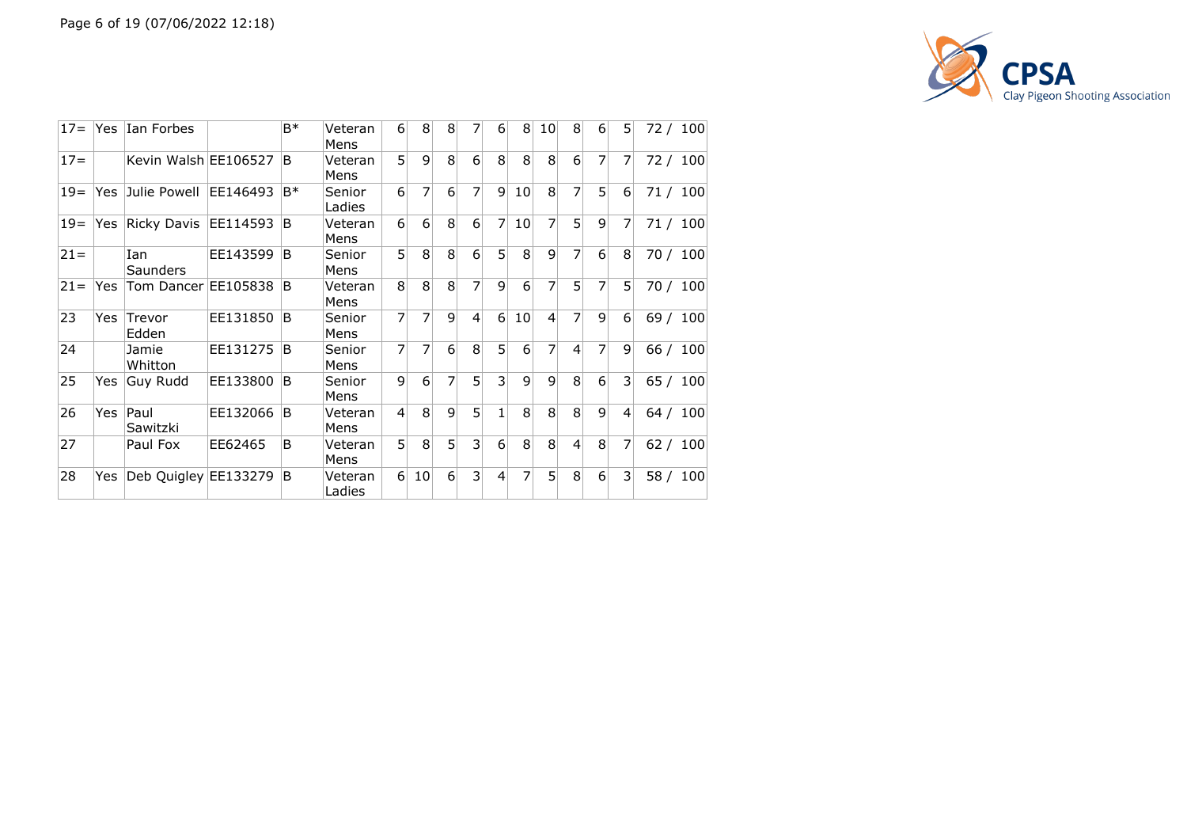

| $17 =$ | Yes  | Ian Forbes           |          | $B*$ | Veteran<br>Mens   | 6              | 8               | 8 | 7 | 6 | 8               | 10 | 8              | 6 | 5              | 72 / 100    |
|--------|------|----------------------|----------|------|-------------------|----------------|-----------------|---|---|---|-----------------|----|----------------|---|----------------|-------------|
| $17 =$ |      | Kevin Walsh EE106527 |          | B    | Veteran<br>Mens   | 5              | 9               | 8 | 6 | 8 | 8               | 8  | 6              | 7 | 7              | 72 / 100    |
| $19=$  | Yes. | Julie Powell         | EE146493 | B*   | Senior<br>Ladies  | 6              | 7               | 6 | 7 | 9 | 10 <sup>1</sup> | 8  | 7              | 5 | 6              | 71 / 100    |
| $19 =$ | Yes  | Ricky Davis          | EE114593 | ΙB   | Veteran<br>Mens   | 6              | 6               | 8 | 6 | 7 | 10 <sup>1</sup> | 7  | 5              | 9 | 7              | 71/<br>100  |
| $21 =$ |      | Ian<br>Saunders      | EE143599 | B    | Senior<br>Mens    | 5              | 8               | 8 | 6 | 5 | 8               | 9  | 7              | 6 | 8              | 70/<br>100  |
| $21 =$ | Yes  | Tom Dancer EE105838  |          | B    | Veteran<br>Mens   | 8              | 8               | 8 | 7 | 9 | 6               | 7  | 5              | 7 | 5              | 70 /<br>100 |
| 23     | Yes  | Trevor<br>Edden      | EE131850 | lB.  | Senior<br>Mens    | 7              | $\overline{7}$  | 9 | 4 | 6 | 10              | 4  | 7              | 9 | 6              | 69/<br>100  |
| 24     |      | Jamie<br>Whitton     | EE131275 | lB.  | Senior<br>Mens    | 7              | $\overline{7}$  | 6 | 8 | 5 | 6               | 7  | $\overline{4}$ | 7 | 9              | 100<br>66 / |
| 25     | Yes  | Guy Rudd             | EE133800 | B    | Senior<br>Mens    | 9              | 6               | 7 | 5 | 3 | 9               | 9  | 8              | 6 | $\overline{3}$ | 65 /<br>100 |
| 26     | Yes  | Paul<br>Sawitzki     | EE132066 | B    | Veteran<br>Mens   | $\overline{4}$ | 8               | 9 | 5 | 1 | 8               | 8  | 8              | 9 | $\overline{4}$ | 100<br>64 / |
| 27     |      | Paul Fox             | EE62465  | B    | Veteran<br>Mens   | 5              | 8               | 5 | 3 | 6 | 8               | 8  | 4              | 8 | 7              | 100<br>62 / |
| 28     | Yes. | Deb Quigley EE133279 |          | B    | Veteran<br>Ladies | 6              | 10 <sup>1</sup> | 6 | 3 | 4 | 7               | 5  | 8              | 6 | 3              | 58 /<br>100 |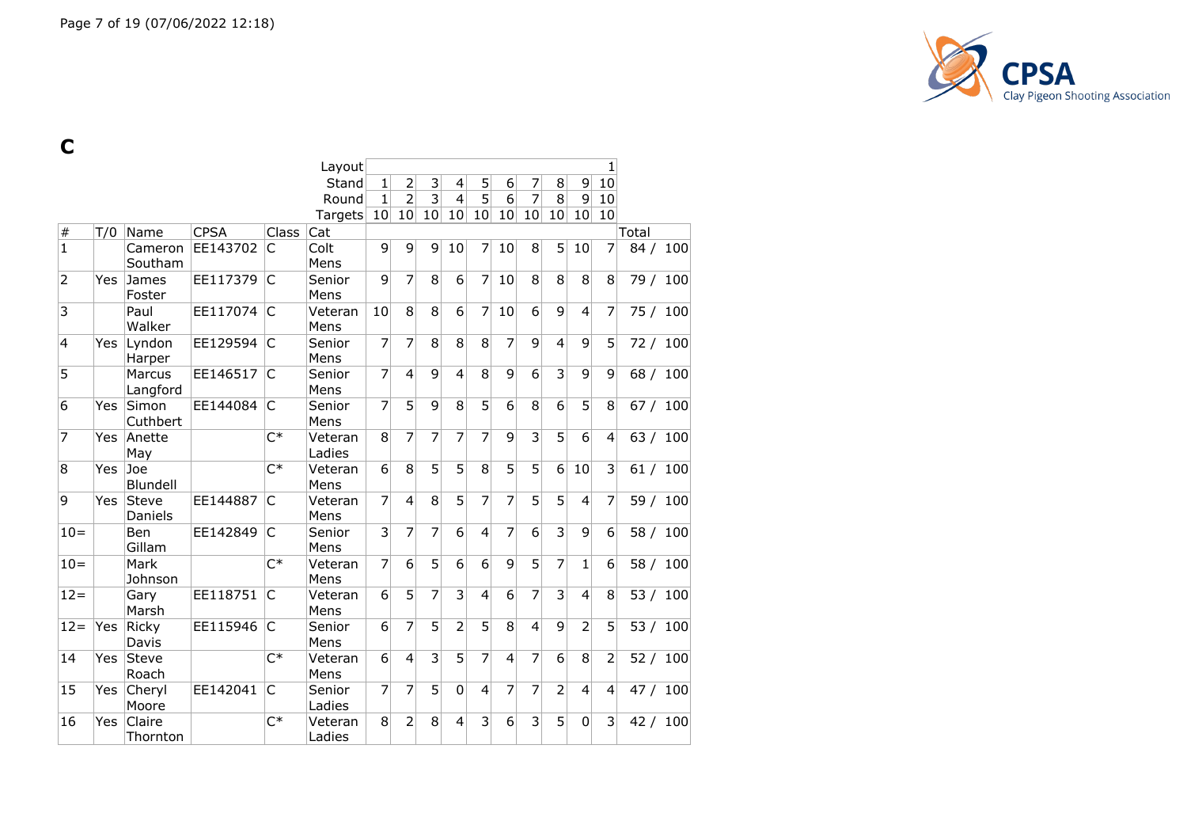

**C**

|                         |            |                    |             |                  | Layout            |                 |                 |                |                |                |                |                         |                 |                | 1              |       |          |
|-------------------------|------------|--------------------|-------------|------------------|-------------------|-----------------|-----------------|----------------|----------------|----------------|----------------|-------------------------|-----------------|----------------|----------------|-------|----------|
|                         |            |                    |             |                  | Stand             | $\mathbf{1}$    | $\overline{2}$  | 3              | 4              | 5              | 6              | $\overline{7}$          | 8               | 9              | 10             |       |          |
|                         |            |                    |             |                  | Round             | 1               | $\overline{2}$  | $\overline{3}$ | $\overline{4}$ | $\overline{5}$ | $\overline{6}$ | $\overline{7}$          | 8               | 9              | 10             |       |          |
|                         |            |                    |             |                  | Targets           | 10 <sup>1</sup> | 10              | 10             | 10             | 10             | 10             | 10                      | 10              | 10             | 10             |       |          |
| $\#$                    | T/0        | Name               | <b>CPSA</b> | Class            | Cat               |                 |                 |                |                |                |                |                         |                 |                |                | Total |          |
| 1                       |            | Cameron<br>Southam | EE143702    | C                | Colt<br>Mens      | 9               | $\overline{9}$  | 9              | 10             | $\overline{7}$ | 10             | 8                       | 5               | 10             | 7              |       | 84 / 100 |
| 2                       | Yes        | James<br>Foster    | EE117379    | $\mathsf{C}$     | Senior<br>Mens    | $\mathbf{q}$    | $\overline{7}$  | 8              | $6 \mid$       | $\overline{7}$ | 10             | 8                       | 8               | 8              | 8              | 79/   | 100      |
| $\overline{\mathbf{3}}$ |            | Paul<br>Walker     | EE117074    | IC               | Veteran<br>Mens   | 10              | 8               | 8              | $6 \mid$       | $\overline{7}$ | 10             | 6                       | $\overline{9}$  | $\overline{4}$ | $\overline{7}$ |       | 75 / 100 |
| 4                       | Yes        | Lyndon<br>Harper   | EE129594    | C                | Senior<br>Mens    | $\overline{7}$  | $\overline{7}$  | 8              | 8              | $\overline{8}$ | 7              | 9                       | 4               | $\overline{9}$ | 5              | 72/   | 100      |
| 5                       |            | Marcus<br>Langford | EE146517    | $\mathsf{C}$     | Senior<br>Mens    | $\overline{7}$  | $\overline{4}$  | $\mathsf{q}$   | 4              | 8              | 9              | 6                       | $\overline{3}$  | 9              | $\mathsf{q}$   |       | 68 / 100 |
| 6                       | <b>Yes</b> | Simon<br>Cuthbert  | EE144084    | $\mathsf{C}$     | Senior<br>Mens    | $\overline{7}$  | $\overline{5}$  | 9              | 8              | $\overline{5}$ | 6              | 8                       | 6               | $\overline{5}$ | 8              |       | 67 / 100 |
| 7                       | <b>Yes</b> | Anette<br>May      |             | $\overline{C^*}$ | Veteran<br>Ladies | $\overline{8}$  | $\overline{7}$  | $\overline{7}$ | $\overline{7}$ | $\overline{7}$ | $\overline{9}$ | $\overline{\mathbf{3}}$ | $\overline{5}$  | $\overline{6}$ | 4              |       | 63 / 100 |
| 8                       | Yes        | Joe<br>Blundell    |             | $\overline{C^*}$ | Veteran<br>Mens   | 6               | 8               | 5              | 5              | 8              | 5              | 5                       | 6               | 10             | 3              |       | 61 / 100 |
| 9                       | <b>Yes</b> | Steve<br>Daniels   | EE144887    | C                | Veteran<br>Mens   | $\overline{7}$  | $\overline{4}$  | 8              | 5 <sup>1</sup> | $\overline{7}$ | 7              | $\overline{5}$          | 5               | $\overline{4}$ | $\overline{7}$ |       | 59 / 100 |
| $10 =$                  |            | Ben<br>Gillam      | EE142849    | C                | Senior<br>Mens    | $\overline{3}$  | $\overline{7}$  | $\overline{7}$ | $\overline{6}$ | $\overline{4}$ | 7              | $\overline{6}$          | $\overline{3}$  | 9              | 6              |       | 58 / 100 |
| $10 =$                  |            | Mark<br>Johnson    |             | $C^*$            | Veteran<br>Mens   | $\overline{7}$  | $6\overline{6}$ | 5              | $\overline{6}$ | $\overline{6}$ | 9              | 5                       | $\overline{7}$  | $\mathbf{1}$   | 6              |       | 58 / 100 |
| $12 =$                  |            | Gary<br>Marsh      | EE118751    | C                | Veteran<br>Mens   | 6               | 5               | $\overline{7}$ | $\overline{3}$ | $\overline{4}$ | 6              | $\overline{7}$          | 3               | $\overline{4}$ | 8              |       | 53 / 100 |
| $12 =$                  | <b>Yes</b> | Ricky<br>Davis     | EE115946    | C                | Senior<br>Mens    | 6               | $\overline{7}$  | $\overline{5}$ | $\overline{2}$ | $\overline{5}$ | 8              | $\overline{4}$          | 9               | $\overline{2}$ | 5              |       | 53 / 100 |
| 14                      | <b>Yes</b> | Steve<br>Roach     |             | $C^*$            | Veteran<br>Mens   | $6\overline{6}$ | $\overline{4}$  | $\overline{3}$ | $\overline{5}$ | $\overline{7}$ | $\overline{4}$ | $\overline{7}$          | $6\overline{6}$ | $\overline{8}$ | 2              |       | 52 / 100 |
| 15                      | Yes        | Cheryl<br>Moore    | EE142041    | C                | Senior<br>Ladies  | 7               | $\overline{7}$  | 5              | $\overline{0}$ | $\overline{4}$ | 7              | $\overline{7}$          | $\overline{2}$  | $\overline{4}$ | $\overline{4}$ |       | 47 / 100 |
| 16                      | Yes        | Claire<br>Thornton |             | $C^*$            | Veteran<br>Ladies | 8               | 2               | 8              | 4              | 3              | 6              | 3                       | 5               | $\overline{0}$ | 3              |       | 42 / 100 |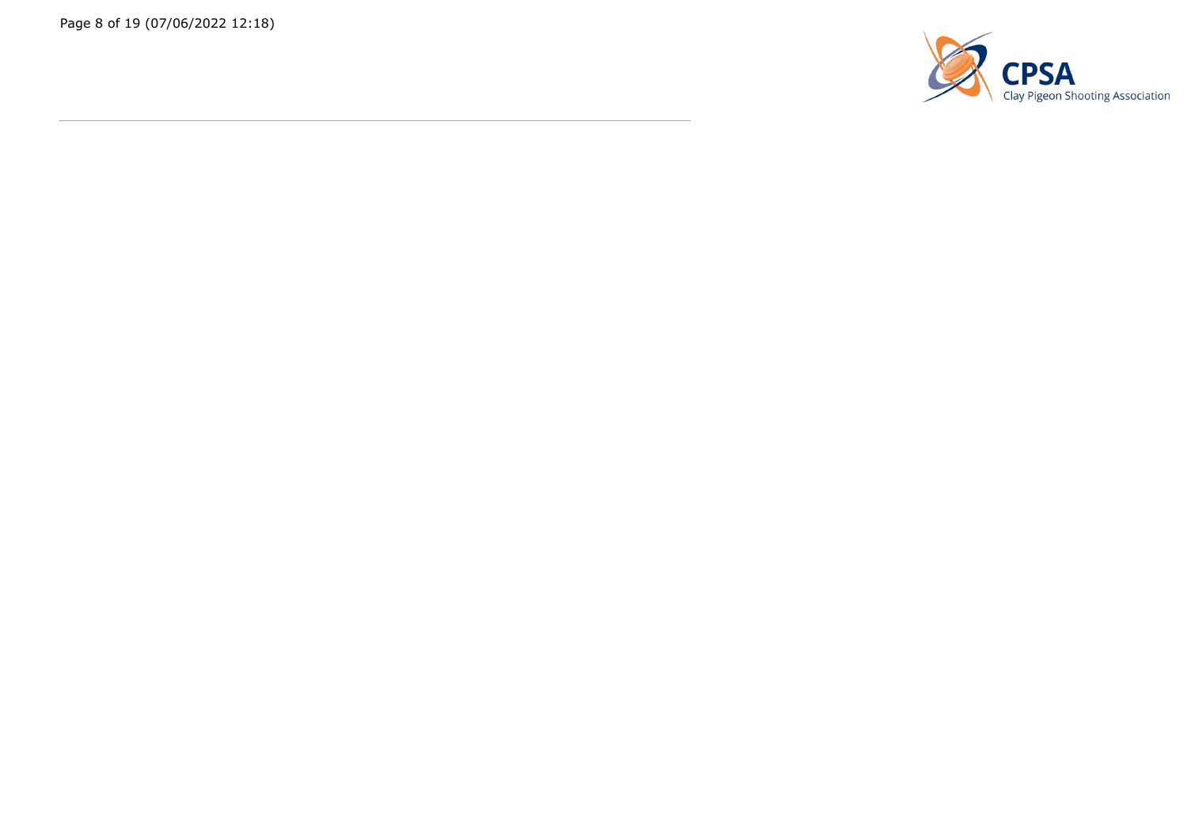Page 8 of 19 (07/06/2022 12:18)

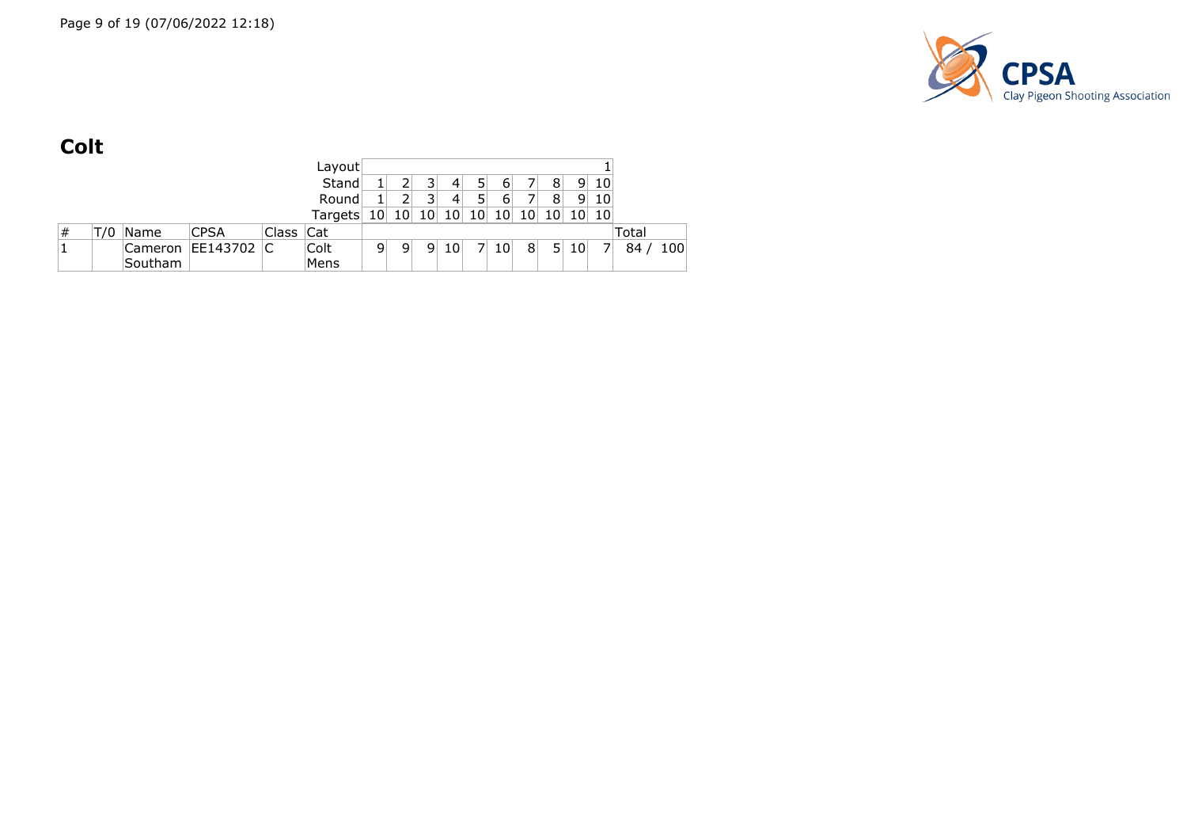

# **Colt**

|   |     |         |                    |           | Layout                    |                |   |   |    |   |                 |                 |                 |                 |     |       |     |
|---|-----|---------|--------------------|-----------|---------------------------|----------------|---|---|----|---|-----------------|-----------------|-----------------|-----------------|-----|-------|-----|
|   |     |         |                    |           | Stand                     |                |   | 3 | 4  | 5 | 6               |                 | 8               | 9               | 10  |       |     |
|   |     |         |                    |           | Round                     |                |   | 3 | 4  |   | 6               |                 | 8               | 9               | 10  |       |     |
|   |     |         |                    |           | Targets 10 10 10 10 10 10 |                |   |   |    |   |                 | 10 <sup>1</sup> | 10 <sup>1</sup> | 10 <sup>1</sup> | -10 |       |     |
| # | T/0 | Name    | <b>CPSA</b>        | Class Cat |                           |                |   |   |    |   |                 |                 |                 |                 |     | Total |     |
|   |     |         | Cameron   EE143702 |           | Colt                      | 9 <sub>l</sub> | 9 | 9 | 10 |   | 10 <sup>1</sup> | 8               | 5               | 10 <sup>1</sup> |     | 84    | 100 |
|   |     | Southam |                    |           | Mens                      |                |   |   |    |   |                 |                 |                 |                 |     |       |     |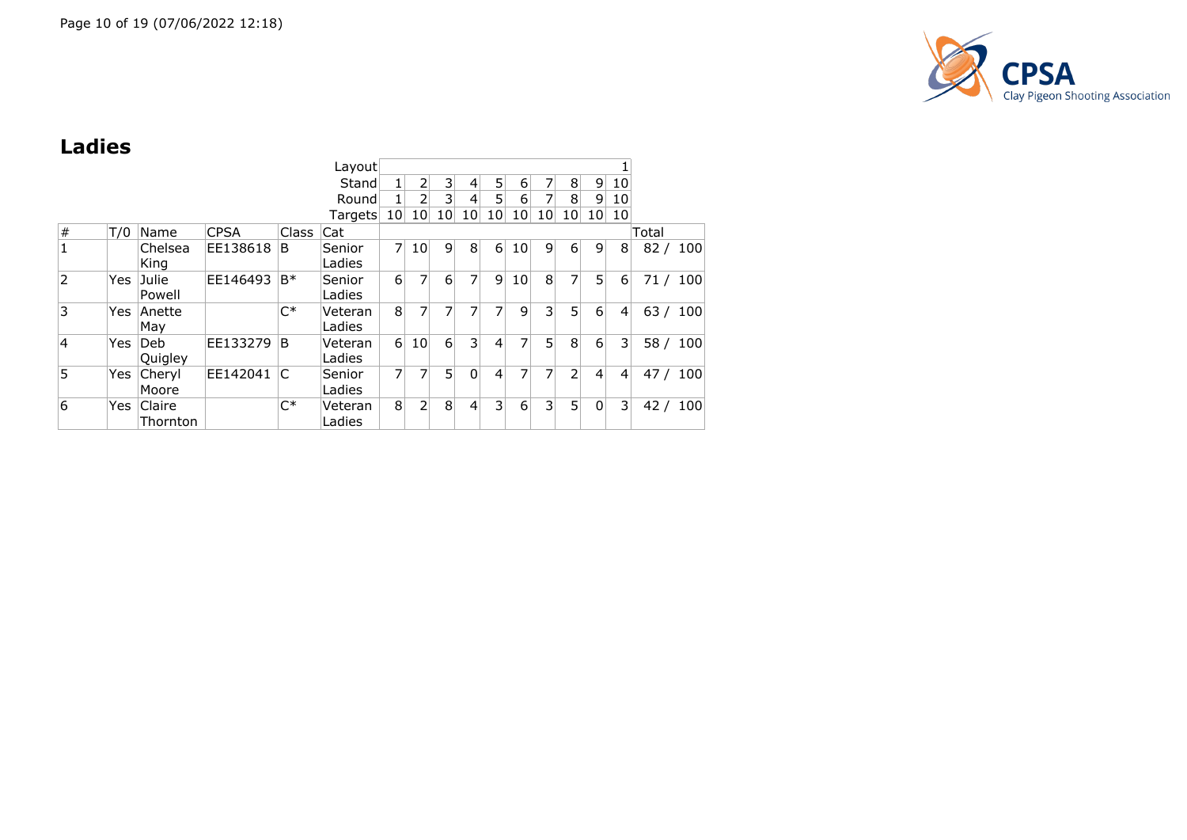

### **Ladies**

|                |     |                    |             |              | Layout            |                 |                 |                 |                 |                 |    |                 |    |                 |                 |       |     |
|----------------|-----|--------------------|-------------|--------------|-------------------|-----------------|-----------------|-----------------|-----------------|-----------------|----|-----------------|----|-----------------|-----------------|-------|-----|
|                |     |                    |             |              | Stand             | 1               | $\overline{2}$  | 3               | $\overline{4}$  | 5 <sup>1</sup>  | 6  |                 | 8  | $\overline{9}$  | 10              |       |     |
|                |     |                    |             |              | Round             |                 | 2               | 3               | 4               | 5               | 6  |                 | 8  | 9               | 10              |       |     |
|                |     |                    |             |              | Targets           | 10 <sup>1</sup> | 10 <sub>1</sub> | 10 <sup>1</sup> | 10 <sub>l</sub> | 10 <sub>1</sub> | 10 | 10 <sup>1</sup> | 10 | 10 <sup>1</sup> | 10 <sup>1</sup> |       |     |
| $\#$           | T/0 | Name               | <b>CPSA</b> | <b>Class</b> | Cat               |                 |                 |                 |                 |                 |    |                 |    |                 |                 | Total |     |
| 1              |     | Chelsea<br>King    | EE138618    | B            | Senior<br>Ladies  | 7               | 10 <sub>1</sub> | 9               | 8               | 6               | 10 | $\overline{9}$  | 6  | $\vert 9 \vert$ | 8               | 82/   | 100 |
| $\overline{2}$ | Yes | Julie<br>Powell    | EE146493    | B*           | Senior<br>Ladies  | 6               | 7               | 6               | 7               | 9               | 10 | 8               | 7  | 5 <sub>l</sub>  | 6               | 71/   | 100 |
| 3              | Yes | Anette<br>May      |             | $C^*$        | Veteran<br>Ladies | 8               | 7               | 7               | 7               | 7               | 9  | 3               | 5  | 6               | 4               | 63/   | 100 |
| $\overline{4}$ | Yes | Deb<br>Quigley     | EE133279    | B            | Veteran<br>Ladies | 6               | 10 <sup>1</sup> | 6               | 3               | 4               | 7  | 5               | 8  | 6               | 3               | 58 /  | 100 |
| 5              | Yes | Cheryl<br>Moore    | EE142041    | C            | Senior<br>Ladies  | 7               | 7               | 5               | 0               | 4               | 7  |                 | 2  | $\overline{4}$  | 4               | 47/   | 100 |
| 6              | Yes | Claire<br>Thornton |             | C*           | Veteran<br>Ladies | 8               | $\overline{2}$  | 8               | 4               | 3               | 6  | $\overline{3}$  | 5  | 0               | 3               | 42/   | 100 |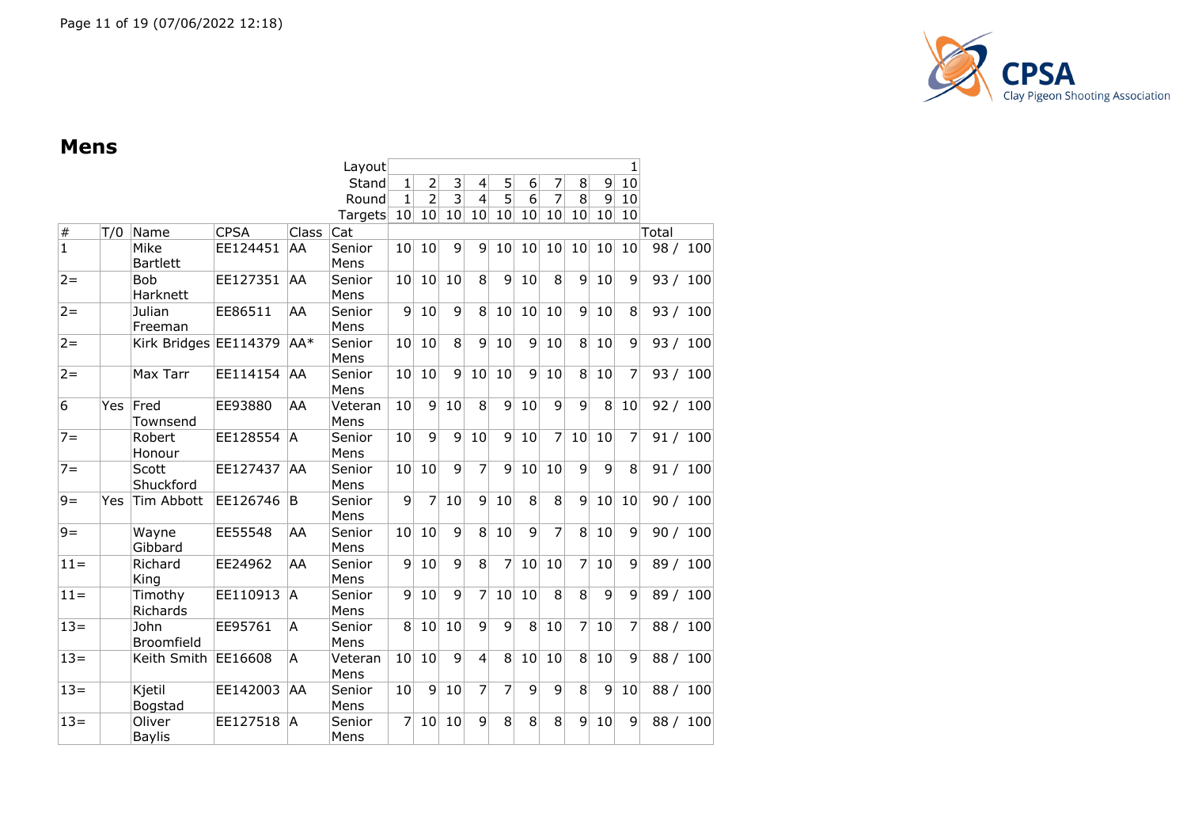

#### **Mens**

|              |     |                         |             |       | Layout          |                 |                |                |                         |                |                |                |                |    | 1  |       |          |
|--------------|-----|-------------------------|-------------|-------|-----------------|-----------------|----------------|----------------|-------------------------|----------------|----------------|----------------|----------------|----|----|-------|----------|
|              |     |                         |             |       | Stand           | 1               | $\frac{2}{2}$  | $\mathsf 3$    | $\overline{\mathbf{4}}$ | 5              | 6              | 7              | 8              | 9  | 10 |       |          |
|              |     |                         |             |       | Round           | $\mathbf{1}$    |                | $\overline{3}$ | $\overline{4}$          | 5              | 6              | $\overline{7}$ | $\overline{8}$ | 9  | 10 |       |          |
|              |     |                         |             |       | Targets         | 10 <sup>1</sup> | 10             | 10             | 10                      | 10             | 10             | 10             | 10             | 10 | 10 |       |          |
| $\#$         | T/0 | Name                    | <b>CPSA</b> | Class | Cat             |                 |                |                |                         |                |                |                |                |    |    | Total |          |
| $\mathbf{1}$ |     | Mike<br><b>Bartlett</b> | EE124451    | AA    | Senior<br>Mens  | 10              | 10             | 9              | 9                       | 10             | 10             | 10             | 10             | 10 | 10 | 98 /  | 100      |
| $2 =$        |     | <b>Bob</b><br>Harknett  | EE127351    | AA    | Senior<br>Mens  | 10              | 10             | 10             | 8                       | $\overline{9}$ | 10             | 8              | 9              | 10 | 9  | 93/   | 100      |
| $2 =$        |     | Julian<br>Freeman       | EE86511     | AA    | Senior<br>Mens  | 9               | 10             | 9              | 8                       | 10             | 10             | 10             | $\mathsf{q}$   | 10 | 8  | 93/   | 100      |
| $2 =$        |     | Kirk Bridges EE114379   |             | AA*   | Senior<br>Mens  | 10              | 10             | 8              | $\overline{9}$          | 10             | $\overline{9}$ | 10             | 8              | 10 | 9  |       | 93 / 100 |
| $2 =$        |     | Max Tarr                | EE114154    | AA    | Senior<br>Mens  | 10              | 10             | 9              | 10                      | 10             | $\overline{9}$ | 10             | 8              | 10 | 7  | 93/   | 100      |
| 6            | Yes | Fred<br>Townsend        | EE93880     | AA    | Veteran<br>Mens | 10              | 9              | 10             | 8                       | 9              | 10             | 9              | 9              | 8  | 10 | 92/   | 100      |
| $7 =$        |     | Robert<br>Honour        | EE128554    | A     | Senior<br>Mens  | 10              | $\overline{9}$ | 9              | 10                      | 9              | 10             | 7              | 10             | 10 | 7  | 91/   | 100      |
| $7 =$        |     | Scott<br>Shuckford      | EE127437    | AA    | Senior<br>Mens  | 10              | 10             | 9              | 7                       | 9              | 10             | 10             | 9              | 9  | 8  | 91/   | 100      |
| $9 =$        | Yes | Tim Abbott              | EE126746    | B     | Senior<br>Mens  | $\mathbf{q}$    | 7              | 10             | 9                       | 10             | 8              | 8              | 9              | 10 | 10 | 90/   | 100      |
| $9 =$        |     | Wayne<br>Gibbard        | EE55548     | AA    | Senior<br>Mens  | 10              | 10             | $\mathsf{q}$   | 8                       | 10             | 9              | 7              | 8              | 10 | 9  | 90/   | 100      |
| $11 =$       |     | Richard<br>King         | EE24962     | AA    | Senior<br>Mens  | 9               | 10             | 9              | 8                       | $\overline{7}$ | 10             | 10             | 7              | 10 | 9  | 89/   | 100      |
| $11 =$       |     | Timothy<br>Richards     | EE110913    | A     | Senior<br>Mens  | 9               | 10             | 9              | $\overline{7}$          | 10             | 10             | 8              | 8              | 9  | 9  | 89/   | 100      |
| $13=$        |     | John<br>Broomfield      | EE95761     | A     | Senior<br>Mens  | 8               | 10             | 10             | 9                       | 9              | 8              | 10             | 7              | 10 | 7  | 88 /  | 100      |
| $13=$        |     | Keith Smith             | EE16608     | A     | Veteran<br>Mens | 10              | 10             | 9              | $\overline{4}$          | 8              | 10             | 10             | 8              | 10 | 9  | 88 /  | 100      |
| $13=$        |     | Kjetil<br>Bogstad       | EE142003    | AA    | Senior<br>Mens  | 10              | 9              | 10             | 7                       | 7              | 9              | 9              | 8              | 9  | 10 | 88 /  | 100      |
| $13 =$       |     | Oliver<br>Baylis        | EE127518    | A     | Senior<br>Mens  | 7               | 10             | 10             | 9                       | 8              | 8              | 8              | 9              | 10 | 9  | 88 /  | 100      |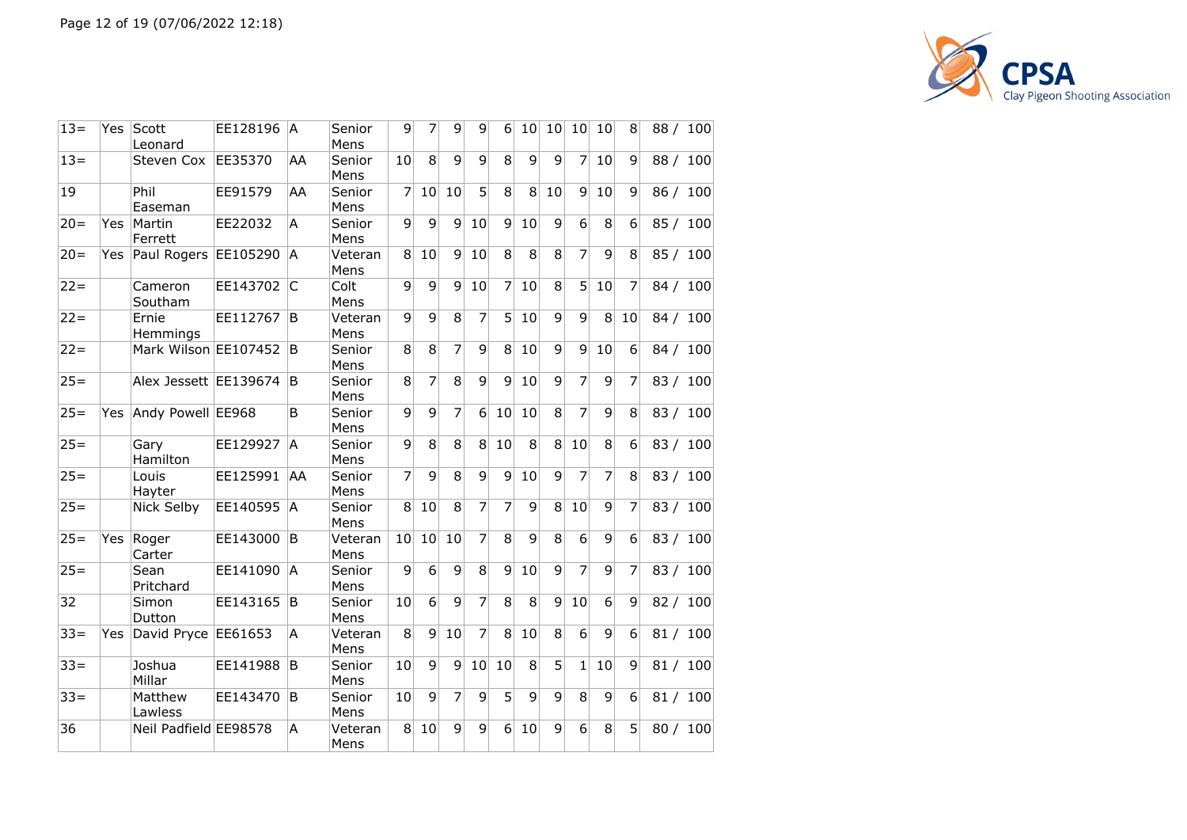

| $13 =$ | Yes        | Scott<br>Leonard      | EE128196 A |              | Senior<br>Mens  | $\vert 9 \vert$ | 7            | 9              | 9                | 6              | 10 <sup>1</sup> | 10             | 10             | 10             | 8              | 88 / 100 |     |
|--------|------------|-----------------------|------------|--------------|-----------------|-----------------|--------------|----------------|------------------|----------------|-----------------|----------------|----------------|----------------|----------------|----------|-----|
| $13 =$ |            | Steven Cox            | EE35370    | AA           | Senior<br>Mens  | 10              | 8            | $\mathsf{q}$   | 9                | 8              | 9               | 9              | 7              | 10             | $\mathsf{q}$   | 88 / 100 |     |
| 19     |            | Phil<br>Easeman       | EE91579    | AA           | Senior<br>Mens  | $\overline{7}$  | 10           | 10             | 5                | 8              | 8 <sup>1</sup>  | 10             | 9              | 10             | 9              | 86 / 100 |     |
| $20 =$ | Yes        | Martin<br>Ferrett     | EE22032    | A            | Senior<br>Mens  | $\vert$         | $\mathsf{q}$ | $\mathsf{q}$   | 10               | 9              | 10              | $\mathbf{q}$   | 6              | 8              | 6              | 85 / 100 |     |
| $20 =$ | Yes.       | Paul Rogers EE105290  |            | <sup>A</sup> | Veteran<br>Mens | 8 <sup>°</sup>  | 10           | 9              | 10               | 8              | 8               | 8              | $\overline{7}$ | 9              | 8              | 85 / 100 |     |
| $22 =$ |            | Cameron<br>Southam    | EE143702   | C            | Colt<br>Mens    | $\overline{9}$  | $\mathbf{q}$ | 9              | 10               | $\overline{7}$ | 10              | 8              | 5              | 10             | 7              | 84 / 100 |     |
| $22 =$ |            | Ernie<br>Hemmings     | EE112767   | B            | Veteran<br>Mens | $\vert 9 \vert$ | 9            | 8              | 7                | 5              | 10              | 9              | 9              | 8              | 10             | 84 / 100 |     |
| $22 =$ |            | Mark Wilson EE107452  |            | lB.          | Senior<br>Mens  | 8 <sup>1</sup>  | 8            | $\overline{7}$ | 9                | 8              | 10              | $\mathsf{q}$   | $\mathsf{q}$   | 10             | 6              | 84 / 100 |     |
| $25 =$ |            | Alex Jessett EE139674 |            | B            | Senior<br>Mens  | 8 <sup>1</sup>  | 7            | 8              | 9                | 9              | 10              | 9              | $\overline{7}$ | 9              | 7              | 83/100   |     |
| $25 =$ | Yes        | Andy Powell EE968     |            | B            | Senior<br>Mens  | $\vert 9 \vert$ | 9            | 7              | $6 \overline{6}$ | 10             | 10              | 8              | 7              | 9              | 8              | 83 / 100 |     |
| $25 =$ |            | Gary<br>Hamilton      | EE129927   | lA.          | Senior<br>Mens  | $\overline{9}$  | 8            | 8              | 8                | 10             | 8               | 8 <sup>1</sup> | 10             | 8              | 6              | 83 / 100 |     |
| $25 =$ |            | Louis<br>Hayter       | EE125991   | AA           | Senior<br>Mens  | 7               | $\mathbf{q}$ | 8 <sup>1</sup> | 9                | 9              | 10              | 9              | 7              | $\overline{7}$ | 8              | 83 / 100 |     |
| $25 =$ |            | Nick Selby            | EE140595   | IA.          | Senior<br>Mens  | 8 <sup>1</sup>  | 10           | 8              | $\overline{7}$   | $\overline{7}$ | 9               | 8 <sup>1</sup> | 10             | $\overline{9}$ | $\overline{7}$ | 83 / 100 |     |
| $25 =$ | <b>Yes</b> | Roger<br>Carter       | EE143000   | B            | Veteran<br>Mens | 10 <sup>1</sup> | 10           | 10             | 7                | 8              | 9               | 8              | 6              | 9              | 6              | 83 / 100 |     |
| $25=$  |            | Sean<br>Pritchard     | EE141090   | <sup>A</sup> | Senior<br>Mens  | $\mathbf{q}$    | 6            | 9              | 8                | 9              | 10              | 9              | 7              | $\mathsf{q}$   | 7              | 83 / 100 |     |
| 32     |            | Simon<br>Dutton       | EE143165   | B            | Senior<br>Mens  | 10              | 6            | $\overline{9}$ | $\overline{7}$   | 8              | 8               | $\vert$        | 10             | 6              | 9              | 82 / 100 |     |
| $33 =$ | Yes        | David Pryce EE61653   |            | A            | Veteran<br>Mens | 8 <sup>1</sup>  | 9            | 10             | $\overline{7}$   | 8              | 10              | 8              | 6              | 9              | 6              | 81 / 100 |     |
| $33 =$ |            | Joshua<br>Millar      | EE141988   | B            | Senior<br>Mens  | 10              | 9            | 9              | 10               | 10             | 8               | 5              | $\mathbf{1}$   | 10             | 9              | 81/      | 100 |
| $33 =$ |            | Matthew<br>Lawless    | EE143470   | B            | Senior<br>Mens  | 10              | 9            | $\overline{7}$ | 9                | 5              | $\overline{9}$  | 9              | 8              | 9              | 6              | 81 / 100 |     |
| 36     |            | Neil Padfield EE98578 |            | А            | Veteran<br>Mens |                 | 8 10         | 9              | 9                | 6              | 10              | $\mathsf{q}$   | 6              | 8              | 5              | 80 / 100 |     |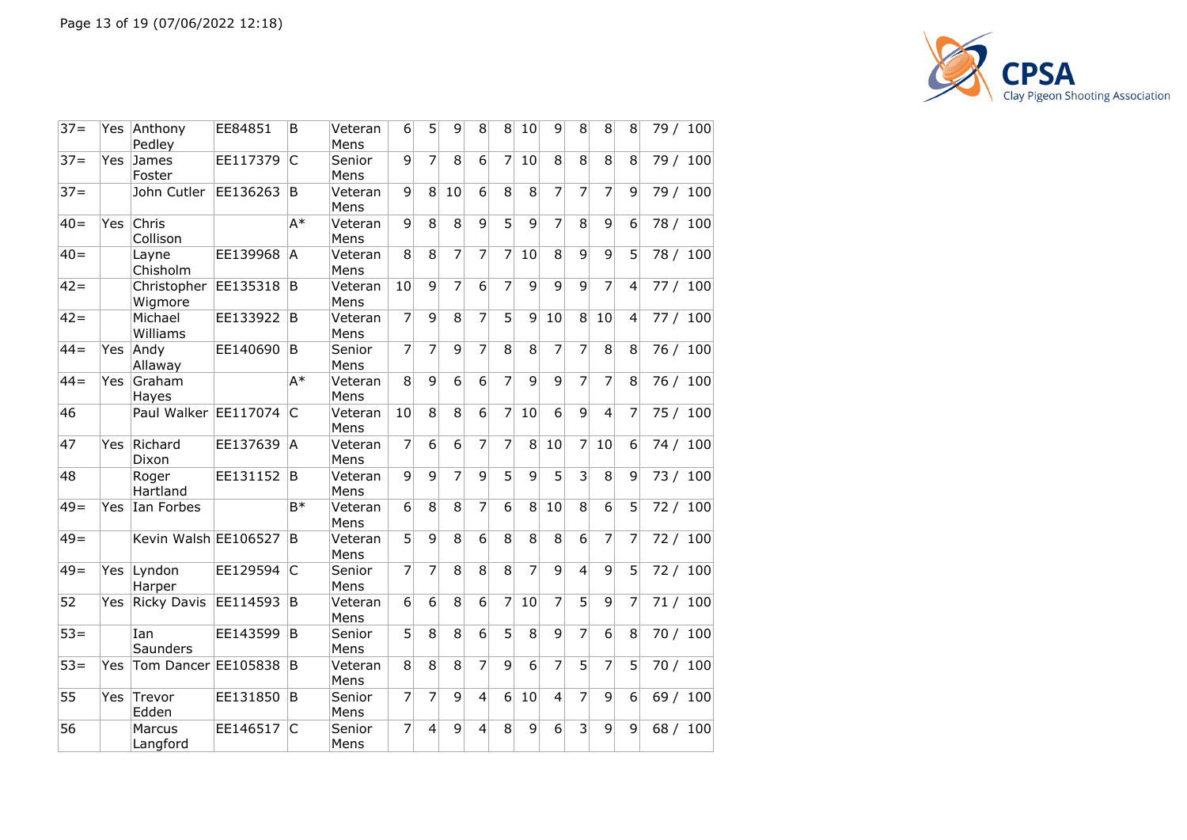

| $37 =$ |            | Yes Anthony<br>Pedley  | EE84851  | B            | Veteran<br>Mens | $6 \mid$        | 5            | 9            | 8              | 8              | 10             | 9              | 8                | 8              | 8                | 79 / 100 |     |
|--------|------------|------------------------|----------|--------------|-----------------|-----------------|--------------|--------------|----------------|----------------|----------------|----------------|------------------|----------------|------------------|----------|-----|
| $37 =$ | Yes        | James<br>Foster        | EE117379 | $\mathsf{C}$ | Senior<br>Mens  | 9               | 7            | 8            | 6              | 7              | 10             | 8              | 8                | 8              | 8                | 79 /     | 100 |
| $37 =$ |            | John Cutler            | EE136263 | B            | Veteran<br>Mens | 9               | 8            | 10           | 6              | 8              | 8              | $\overline{7}$ | 7                | 7              | 9                | 79 / 100 |     |
| $40=$  | Yes        | Chris<br>Collison      |          | $A^*$        | Veteran<br>Mens | $\overline{9}$  | 8            | 8            | 9              | 5              | $\overline{9}$ | 7              | 8                | 9              | $6 \overline{6}$ | 78 / 100 |     |
| $40=$  |            | Layne<br>Chisholm      | EE139968 | lA.          | Veteran<br>Mens | 8               | 8            | 7            | $\overline{7}$ | $\overline{7}$ | 10             | 8              | 9                | 9              | 5 <sup>1</sup>   | 78 /     | 100 |
| $42 =$ |            | Christopher<br>Wigmore | EE135318 | B            | Veteran<br>Mens | 10              | 9            | 7            | 6              | 7              | 9              | 9              | 9                | $\overline{7}$ | $\overline{4}$   | 77/      | 100 |
| $42 =$ |            | Michael<br>Williams    | EE133922 | B            | Veteran<br>Mens | 7               | 9            | 8            | $\overline{7}$ | 5              | $\overline{9}$ | 10             | 8                | 10             | 4                | 77/      | 100 |
| $44 =$ | <b>Yes</b> | Andy<br>Allaway        | EE140690 | B            | Senior<br>Mens  | 7               | 7            | 9            | $\overline{7}$ | 8              | 8              | 7              | 7                | 8              | 8                | 76/      | 100 |
| $44 =$ | Yes        | Graham<br>Hayes        |          | $A^*$        | Veteran<br>Mens | 8               | $\mathsf{q}$ | 6            | 6              | 7              | 9              | 9              | 7                | $\overline{7}$ | $\mathbf{8}$     | 76/      | 100 |
| 46     |            | Paul Walker            | EE117074 | C            | Veteran<br>Mens | 10              | 8            | 8            | 6              | 7              | 10             | 6              | 9                | $\overline{4}$ | $\overline{7}$   | 75/      | 100 |
| 47     | Yes.       | Richard<br>Dixon       | EE137639 | A            | Veteran<br>Mens | 7               | 6            | 6            | 7              | 7              | 8              | 10             | 7                | 10             | 6                | 74 / 100 |     |
| 48     |            | Roger<br>Hartland      | EE131152 | B            | Veteran<br>Mens | $\vert 9 \vert$ | 9            | 7            | 9              | $\overline{5}$ | 9              | 5              | $\overline{3}$   | 8              | 9                | 73/      | 100 |
| $49=$  | <b>Yes</b> | Ian Forbes             |          | $B*$         | Veteran<br>Mens | $\overline{6}$  | 8            | 8            | $\overline{7}$ | 6              | 8              | 10             | 8                | 6              | 5 <sup>1</sup>   | 72/      | 100 |
| $49=$  |            | Kevin Walsh EE106527   |          | B            | Veteran<br>Mens | 5               | 9            | 8            | 6              | 8              | 8              | 8              | $6 \overline{6}$ | $\overline{7}$ | 7                | 72 / 100 |     |
| $49 =$ | Yes        | Lyndon<br>Harper       | EE129594 | lC.          | Senior<br>Mens  | 7               | 7            | 8            | 8              | 8              | 7              | $\mathsf{q}$   | 4                | $\mathsf{q}$   | 5                | 72 / 100 |     |
| 52     | Yes        | <b>Ricky Davis</b>     | EE114593 | B            | Veteran<br>Mens | $6 \mid$        | 6            | 8            | 6              | 7              | 10             | $\overline{7}$ | 5                | 9              | 7                | 71/      | 100 |
| $53 =$ |            | Ian<br>Saunders        | EE143599 | B            | Senior<br>Mens  | 5               | 8            | 8            | 6              | 5              | $\overline{8}$ | 9              | 7                | $\overline{6}$ | $\mathbf{8}$     | 70/      | 100 |
| $53=$  | Yes        | Tom Dancer EE105838    |          | B            | Veteran<br>Mens | 8               | 8            | 8            | 7              | 9              | 6              | 7              | 5                | $\overline{7}$ | 5                | 70/      | 100 |
| 55     | Yes        | Trevor<br>Edden        | EE131850 | B            | Senior<br>Mens  | 7               | 7            | $\mathsf{q}$ | $\overline{4}$ | 6              | 10             | 4              | 7                | 9              | 6                | 69 / 100 |     |
| 56     |            | Marcus<br>Langford     | EE146517 | C            | Senior<br>Mens  | 7               | 4            | 9            | $\overline{4}$ | 8              | 9              | 6              | 3                | 9              | 9                | 68/      | 100 |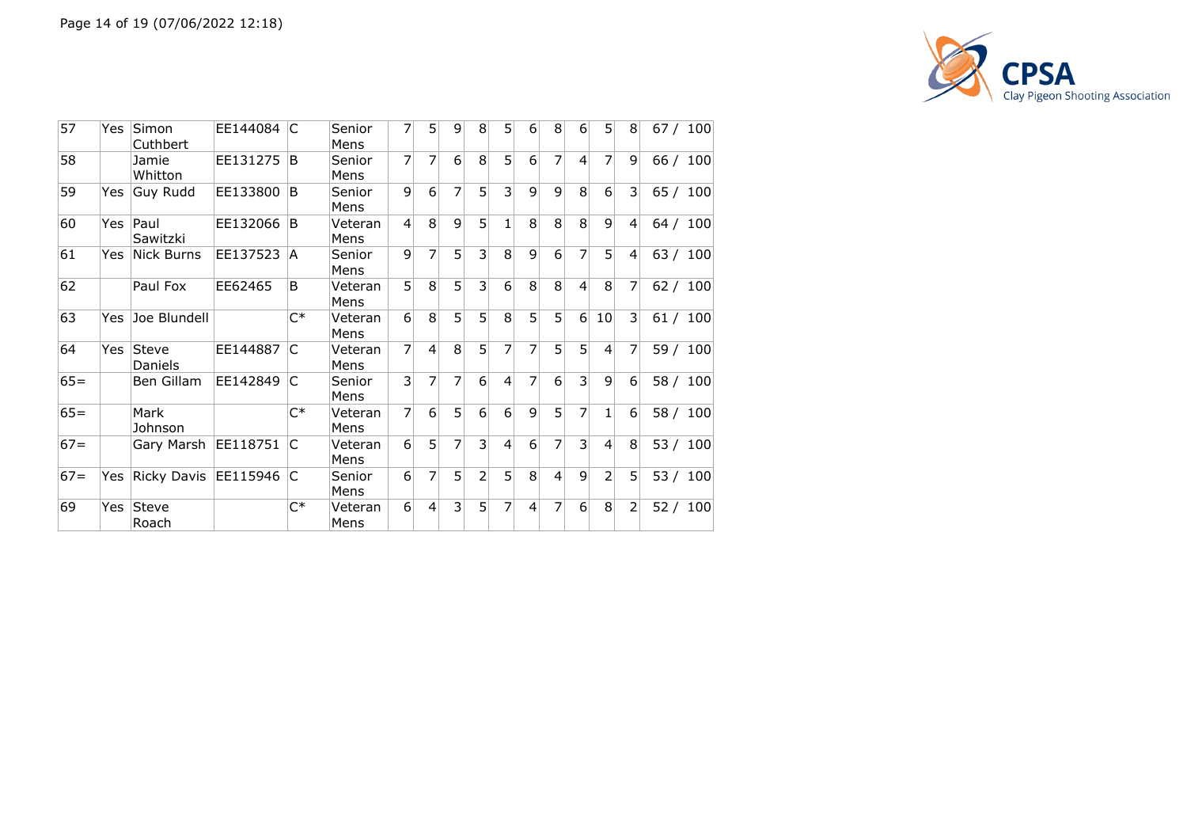

| 57     | Yes  | Simon<br>Cuthbert  | EE144084 | C              | Senior<br>Mens  | 7              | 5 | 9 | 8              | 5              | 6              | 8              | 6              | 5              | 8              | 67 / | 100 |
|--------|------|--------------------|----------|----------------|-----------------|----------------|---|---|----------------|----------------|----------------|----------------|----------------|----------------|----------------|------|-----|
| 58     |      | Jamie<br>Whitton   | EE131275 | B              | Senior<br>Mens  | 7              | 7 | 6 | 8              | 5              | 6              | 7              | $\overline{4}$ | 7              | 9              | 66/  | 100 |
| 59     | Yes  | Guy Rudd           | EE133800 | B              | Senior<br>Mens  | 9 <sup>1</sup> | 6 | 7 | $\overline{5}$ | 3              | 9              | 9              | 8              | 6              | 3              | 65/  | 100 |
| 60     | Yes. | Paul<br>Sawitzki   | EE132066 | B              | Veteran<br>Mens | $\overline{4}$ | 8 | 9 | 5              | $\mathbf{1}$   | 8              | 8              | 8              | $\mathsf{q}$   | $\overline{4}$ | 64/  | 100 |
| 61     | Yes  | <b>Nick Burns</b>  | EE137523 | A              | Senior<br>Mens  | $\overline{9}$ | 7 | 5 | 3              | 8              | $\mathbf{q}$   | 6              | 7              | 5              | 4              | 63/  | 100 |
| 62     |      | Paul Fox           | EE62465  | B              | Veteran<br>Mens | 5 <sup>1</sup> | 8 | 5 | 3              | 6              | 8              | 8              | $\overline{4}$ | 8              | 7              | 62/  | 100 |
| 63     | Yes  | Joe Blundell       |          | $\mathsf{C}^*$ | Veteran<br>Mens | 6              | 8 | 5 | 5              | 8              | 5              | 5              | 6              | 10             | 3              | 61/  | 100 |
| 64     | Yes  | Steve<br>Daniels   | EE144887 | C              | Veteran<br>Mens | 7              | 4 | 8 | 5              | 7              | 7              | 5              | 5              | $\overline{4}$ | 7              | 59 / | 100 |
| $65 =$ |      | Ben Gillam         | EE142849 | C              | Senior<br>Mens  | 3              | 7 | 7 | 6              | $\overline{4}$ | 7              | 6              | 3              | 9              | 6              | 58/  | 100 |
| $65 =$ |      | Mark<br>Johnson    |          | $C^*$          | Veteran<br>Mens | $\overline{7}$ | 6 | 5 | 6              | 6              | 9              | 5              | 7              | 1              | 6              | 58 / | 100 |
| $67 =$ |      | Gary Marsh         | EE118751 | C              | Veteran<br>Mens | 6              | 5 | 7 | $\overline{3}$ | $\overline{4}$ | 6              | 7              | 3              | $\overline{4}$ | 8              | 53/  | 100 |
| $67 =$ | Yes  | <b>Ricky Davis</b> | EE115946 | C              | Senior<br>Mens  | 6              | 7 | 5 | $\overline{2}$ | 5              | 8              | $\overline{4}$ | 9              | $\overline{2}$ | 5              | 53/  | 100 |
| 69     | Yes. | Steve<br>Roach     |          | $C^*$          | Veteran<br>Mens | 6              | 4 | 3 | 5 <sup>1</sup> | 7              | $\overline{4}$ | 7              | 6              | 8              | 2              | 52/  | 100 |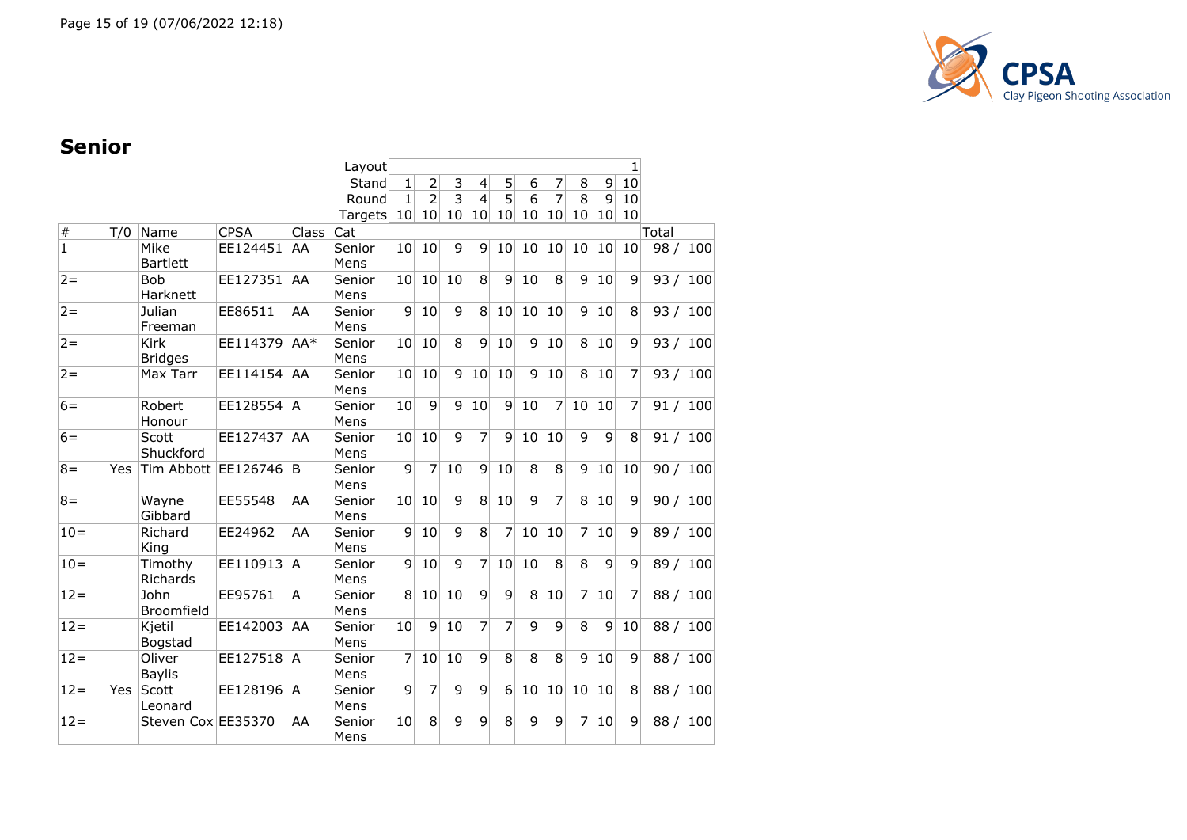

# **Senior**

|                |     |                               |             |       | Layout         |              |                |                         |                |                |                |                |                |                | 1              |       |     |
|----------------|-----|-------------------------------|-------------|-------|----------------|--------------|----------------|-------------------------|----------------|----------------|----------------|----------------|----------------|----------------|----------------|-------|-----|
|                |     |                               |             |       | Stand          | 1            | $\overline{2}$ | $\overline{\mathbf{3}}$ | 4              | 5 <sup>1</sup> | 6              | 7              | 8              | 9              | 10             |       |     |
|                |     |                               |             |       | Round          | $\mathbf{1}$ | $\overline{2}$ | $\overline{\mathbf{3}}$ | $\overline{4}$ | $\overline{5}$ | $\overline{6}$ | 7              | $\overline{8}$ | 9              | 10             |       |     |
|                |     |                               |             |       | Targets        | 10           | 10             | 10                      | 10             | 10             | 10             | 10             | 10             | 10             | 10             |       |     |
| $\#$           | T/0 | Name                          | <b>CPSA</b> | Class | Cat            |              |                |                         |                |                |                |                |                |                |                | Total |     |
| $\overline{1}$ |     | Mike<br><b>Bartlett</b>       | EE124451    | AA    | Senior<br>Mens | 10           | 10             | 9                       | 9              | 10             | 10             | 10             | 10             | 10             | 10             | 98/   | 100 |
| $2 =$          |     | Bob<br>Harknett               | EE127351    | AA    | Senior<br>Mens | 10           | 10             | 10                      | 8              | $\overline{9}$ | 10             | $\overline{8}$ | 9              | 10             | 9              | 93/   | 100 |
| $2 =$          |     | Julian<br>Freeman             | EE86511     | AA    | Senior<br>Mens | $\mathsf{Q}$ | 10             | 9                       | 8              | 10             | 10             | 10             | 9              | 10             | 8              | 93/   | 100 |
| $2 =$          |     | <b>Kirk</b><br><b>Bridges</b> | EE114379    | AA*   | Senior<br>Mens | 10           | 10             | $\overline{8}$          | $\overline{9}$ | 10             | 9              | 10             | 8              | 10             | 9              | 93/   | 100 |
| $2 =$          |     | Max Tarr                      | EE114154    | AA    | Senior<br>Mens | 10           | 10             | $\overline{9}$          | 10             | 10             | 9              | 10             | 8              | 10             | 7              | 93/   | 100 |
| $6 =$          |     | Robert<br>Honour              | EE128554    | A     | Senior<br>Mens | 10           | $\overline{9}$ | 9                       | 10             | $\overline{9}$ | 10             | 7              | 10             | 10             | 7              | 91/   | 100 |
| $6=$           |     | Scott<br>Shuckford            | EE127437    | AA    | Senior<br>Mens | 10           | 10             | 9                       | 7              | $\overline{9}$ | 10             | 10             | $\overline{9}$ | $\overline{9}$ | 8              | 91/   | 100 |
| $8 =$          | Yes | Tim Abbott EE126746           |             | B     | Senior<br>Mens | 9            | 7              | 10                      | 9              | 10             | 8              | 8              | 9              | 10             | 10             | 90/   | 100 |
| $8 =$          |     | Wayne<br>Gibbard              | EE55548     | AA    | Senior<br>Mens | 10           | 10             | 9                       | 8              | 10             | $\overline{9}$ | 7              | 8              | 10             | 9              | 90/   | 100 |
| $10 =$         |     | Richard<br>King               | EE24962     | AA    | Senior<br>Mens | 9            | 10             | 9                       | 8              | $\overline{7}$ | 10             | 10             | 7              | 10             | 9              | 89/   | 100 |
| $10 =$         |     | Timothy<br>Richards           | EE110913    | A     | Senior<br>Mens | 9            | 10             | 9                       | 7              | 10             | 10             | 8              | 8              | 9              | 9              | 89/   | 100 |
| $12 =$         |     | John<br>Broomfield            | EE95761     | A     | Senior<br>Mens | 8            | 10             | 10                      | $\overline{9}$ | $\overline{9}$ | 8              | 10             | $\overline{7}$ | 10             | 7              | 88/   | 100 |
| $12 =$         |     | Kjetil<br>Bogstad             | EE142003    | AA    | Senior<br>Mens | 10           | 9              | 10                      | 7              | 7              | 9              | $\overline{9}$ | $\overline{8}$ | 9              | 10             | 88/   | 100 |
| $12 =$         |     | Oliver<br><b>Baylis</b>       | EE127518    | A     | Senior<br>Mens | 7            | 10             | 10                      | 9              | 8              | 8              | 8              | 9              | 10             | $\overline{9}$ | 88 /  | 100 |
| $12 =$         | Yes | Scott<br>Leonard              | EE128196    | A     | Senior<br>Mens | 9            | $\overline{7}$ | 9                       | 9              | 6              | 10             | 10             | 10             | 10             | 8              | 88 /  | 100 |
| $12 =$         |     | Steven Cox EE35370            |             | AA    | Senior<br>Mens | 10           | 8              | 9                       | $\overline{9}$ | 8              | 9              | 9              | 7              | 10             | $\overline{9}$ | 88 /  | 100 |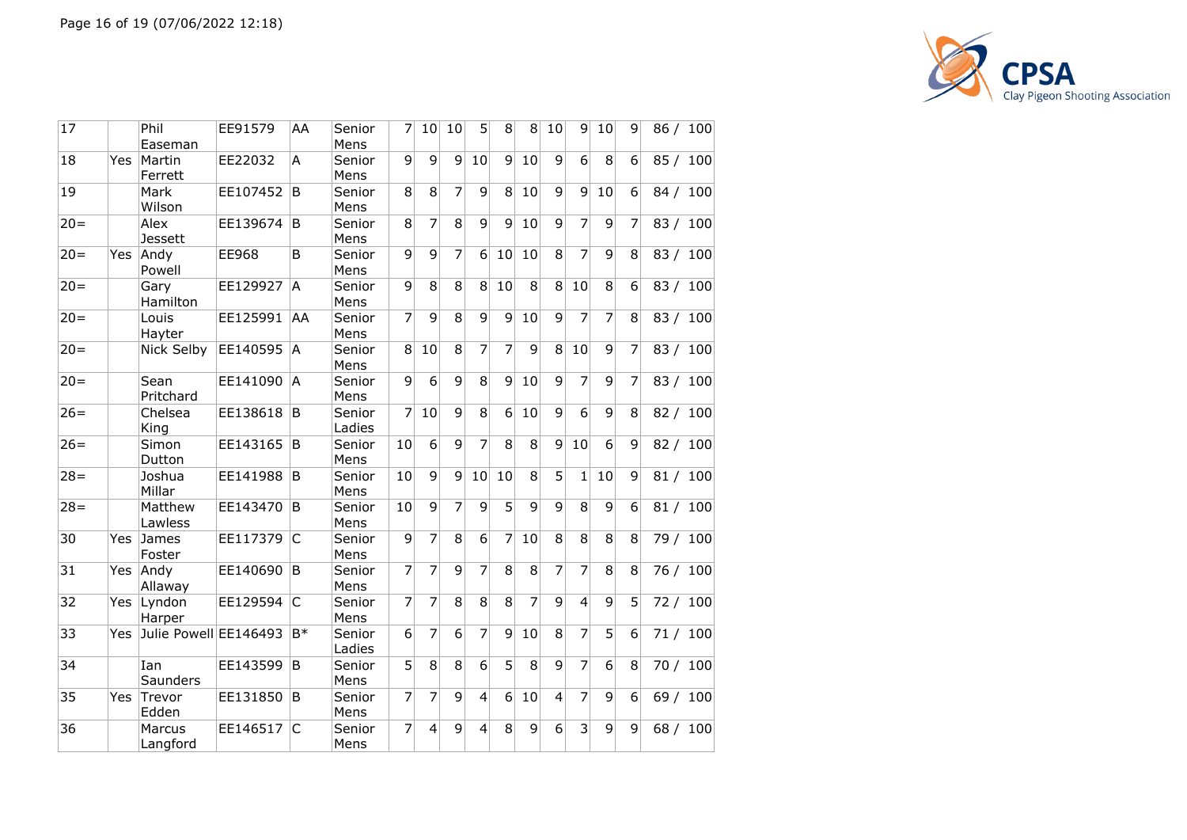

| 17     |            | Phil<br>Easeman        | EE91579  | AA        | Senior<br>Mens   | 7              | 10             | 10             | 5                       | 8                | 8              | 10             | 9               | 10              | 9              | 86 / 100   |
|--------|------------|------------------------|----------|-----------|------------------|----------------|----------------|----------------|-------------------------|------------------|----------------|----------------|-----------------|-----------------|----------------|------------|
| 18     | Yes        | Martin<br>Ferrett      | EE22032  | A         | Senior<br>Mens   | 9              | 9              | 9              | 10                      | $\overline{9}$   | 10             | $\mathbf{q}$   | 6               | 8               | 6              | 85 / 100   |
| 19     |            | Mark<br>Wilson         | EE107452 | ΙB        | Senior<br>Mens   | 8              | 8              | 7              | 9                       | 8 <sup>1</sup>   | 10             | $\mathbf{q}$   | 9               | 10              | 6              | 84 / 100   |
| $20=$  |            | Alex<br><b>Jessett</b> | EE139674 | <b>B</b>  | Senior<br>Mens   | 8              | $\overline{7}$ | 8              | 9                       | $\overline{9}$   | 10             | 9              | $\overline{7}$  | $\overline{9}$  | $\overline{7}$ | 83 / 100   |
| $20 =$ | <b>Yes</b> | Andy<br>Powell         | EE968    | B         | Senior<br>Mens   | 9              | 9              | $\overline{7}$ | 6                       | 10               | 10             | 8              | $\overline{7}$  | 9               | 8              | 83 / 100   |
| $20 =$ |            | Gary<br>Hamilton       | EE129927 | A         | Senior<br>Mens   | 9              | 8              | 8              | 8                       | 10               | 8              | 8              | 10              | 8               | 6              | 83 / 100   |
| $20 =$ |            | Louis<br>Hayter        | EE125991 | <b>AA</b> | Senior<br>Mens   | 7              | $\mathbf{q}$   | $\overline{8}$ | $\overline{9}$          | 9                | 10             | 9              | $\overline{7}$  | $\overline{7}$  | 8              | 83 / 100   |
| $20 =$ |            | Nick Selby             | EE140595 | A         | Senior<br>Mens   | 8              | 10             | 8              | $\overline{7}$          | $\overline{7}$   | 9              | 8              | 10              | 9               | $\overline{7}$ | 83 / 100   |
| $20 =$ |            | Sean<br>Pritchard      | EE141090 | A         | Senior<br>Mens   | 9              | 6              | 9              | 8                       | $\overline{9}$   | 10             | 9              | $\overline{7}$  | 9               | $\overline{7}$ | 83 / 100   |
| $26=$  |            | Chelsea<br>King        | EE138618 | <b>B</b>  | Senior<br>Ladies | $\overline{7}$ | 10             | 9              | 8                       | $6 \mid$         | 10             | 9              | $6\overline{6}$ | 9               | 8              | 82 / 100   |
| $26=$  |            | Simon<br>Dutton        | EE143165 | ΙB        | Senior<br>Mens   | 10             | 6              | 9              | $\overline{7}$          | 8                | 8              | $\mathbf{q}$   | 10              | $6\overline{6}$ | 9              | 82 / 100   |
| $28 =$ |            | Joshua<br>Millar       | EE141988 | <b>B</b>  | Senior<br>Mens   | 10             | $\overline{9}$ | 9              | 10                      | 10               | 8              | 5              | $\mathbf{1}$    | 10              | 9              | 81 / 100   |
| $28 =$ |            | Matthew<br>Lawless     | EE143470 | B         | Senior<br>Mens   | 10             | $\mathbf{9}$   | $\overline{7}$ | $\overline{9}$          | $\overline{5}$   | 9              | 9              | 8               | 9               | 6              | 81 / 100   |
| 30     | <b>Yes</b> | James<br>Foster        | EE117379 | IC        | Senior<br>Mens   | $\overline{9}$ | 7              | 8              | 6                       | $\overline{7}$   | 10             | 8              | 8               | 8               | 8              | 79 / 100   |
| 31     | <b>Yes</b> | Andy<br>Allaway        | EE140690 | ΙB        | Senior<br>Mens   | $\overline{7}$ | $\overline{7}$ | 9              | $\overline{7}$          | 8                | 8              | $\overline{7}$ | $\overline{7}$  | 8               | 8              | 76 / 100   |
| 32     | Yes        | Lyndon<br>Harper       | EE129594 | C         | Senior<br>Mens   | $\overline{7}$ | $\overline{7}$ | 8              | 8                       | 8                | 7              | 9              | $\overline{4}$  | 9               | 5              | 72 / 100   |
| 33     | <b>Yes</b> | Julie Powell EE146493  |          | B*        | Senior<br>Ladies | 6              | $\overline{7}$ | 6              | $\overline{7}$          | $\overline{9}$   | 10             | 8              | $\overline{7}$  | 5               | 6              | 71/<br>100 |
| 34     |            | <b>Tan</b><br>Saunders | EE143599 | B         | Senior<br>Mens   | 5              | 8              | 8              | 6                       | 5                | 8              | 9              | 7               | 6               | 8              | 70 / 100   |
| 35     | Yes        | Trevor<br>Edden        | EE131850 | B         | Senior<br>Mens   | $\overline{7}$ | 7              | 9              | $\overline{\mathbf{4}}$ | $6 \overline{6}$ | 10             | 4              | $\overline{7}$  | 9               | 6              | 69 / 100   |
| 36     |            | Marcus<br>Langford     | EE146517 | IC        | Senior<br>Mens   | 7              | $\overline{4}$ | 9              | $\overline{\mathbf{4}}$ | 8                | $\overline{9}$ | 6              | $\overline{3}$  | $\overline{9}$  | 9              | 68 / 100   |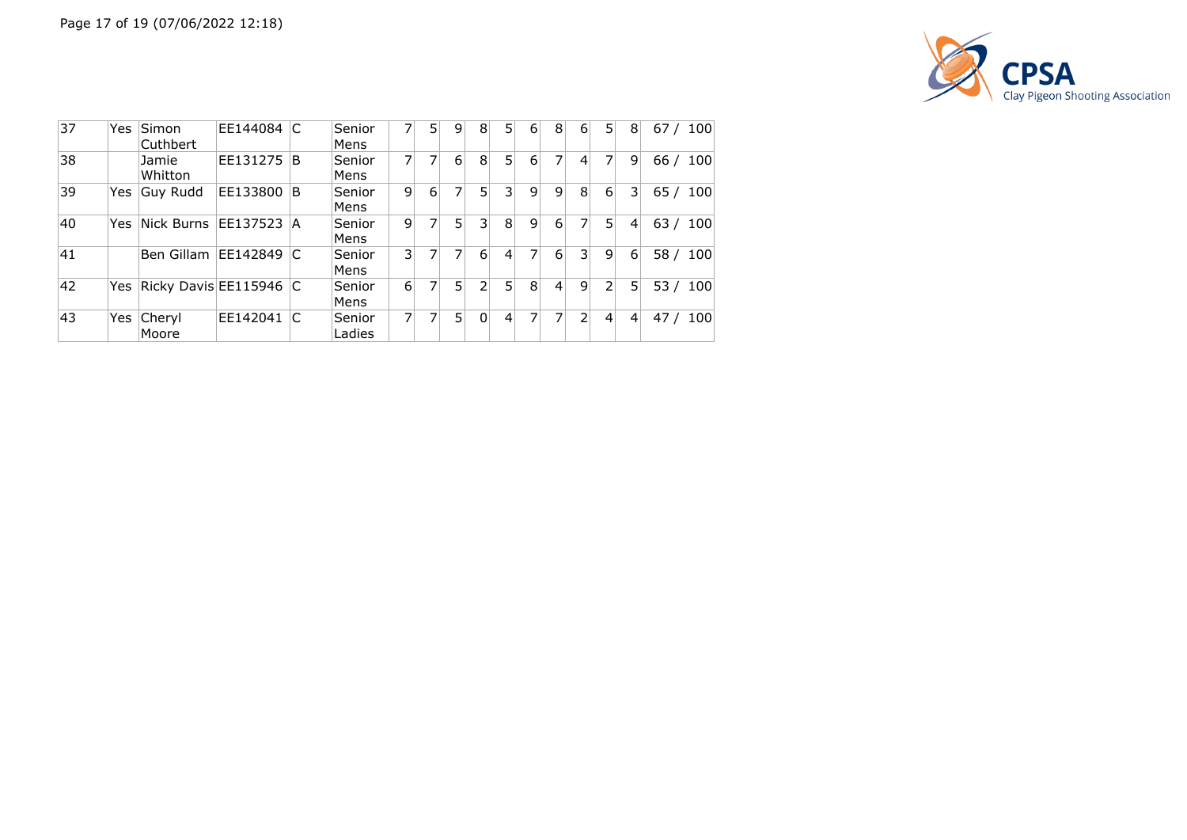

| 37 |     | Yes Simon<br>Cuthbert | EE144084 | IC  | Senior<br>Mens   | 71             | 5 | 9 | 8 | 5              | 6 | 8 | 6 | 5 <sup>1</sup> | 8 | 67<br>100  |
|----|-----|-----------------------|----------|-----|------------------|----------------|---|---|---|----------------|---|---|---|----------------|---|------------|
| 38 |     | Jamie<br>Whitton      | EE131275 | IB. | Senior<br>Mens   | 7              |   | 6 | 8 | 5.             | 6 | 7 | 4 |                | 9 | 66/<br>100 |
| 39 | Yes | Guy Rudd              | EE133800 | ΙB  | Senior<br>Mens   | 9              | 6 | ⇁ | 5 | 3 <sub>1</sub> | 9 | 9 | 8 | 6              | 3 | 65/<br>100 |
| 40 | Yes | Nick Burns            | EE137523 | ۱A  | Senior<br>Mens   | 9              |   | 5 | 3 | 8              | 9 | 6 | 7 | 5              | 4 | 63/<br>100 |
| 41 |     | Ben Gillam            | EE142849 | ΙC  | Senior<br>Mens   | 3 <sup>1</sup> |   | ⇁ | 6 | 4              |   | 6 | 3 | 9              | 6 | 58/<br>100 |
| 42 | Yes | Ricky Davis EE115946  |          | ΙC  | Senior<br>Mens   | 6              |   | 5 | 2 | 5              | 8 | 4 | 9 | $\mathcal{P}$  | 5 | 53/<br>100 |
| 43 | Yes | Cheryl<br>Moore       | EE142041 | C   | Senior<br>Ladies | $\overline{7}$ | 7 | 5 | 0 | 4              | 7 | 7 | 2 | 4              | 4 | 47<br>100  |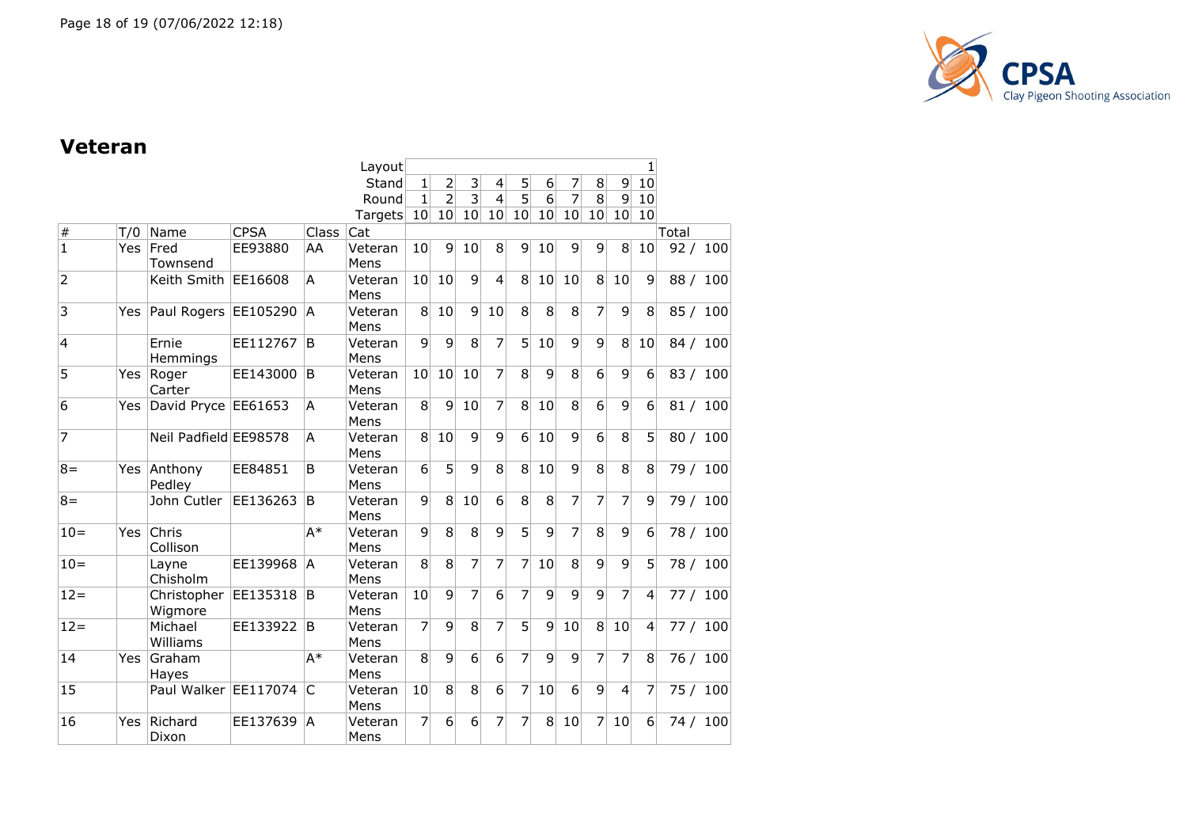

### **Veteran**

|                |            |                       |             |              | Layout          |                 |                |                |                 |                |    |                |                 |                          | ı              |       |          |
|----------------|------------|-----------------------|-------------|--------------|-----------------|-----------------|----------------|----------------|-----------------|----------------|----|----------------|-----------------|--------------------------|----------------|-------|----------|
|                |            |                       |             |              | Stand           | $\mathbf{1}$    | 2              | 3              | 4               | 5              | 6  | 7              | 8               | 9                        | 10             |       |          |
|                |            |                       |             |              | Round           | 1               | $\overline{2}$ | 3              | $\overline{4}$  | 5              | 6  | $\overline{7}$ | 8               | 9                        | 10             |       |          |
|                |            |                       |             |              | Targets         | 10 <sup>1</sup> | 10             | 10             | 10              | 10             | 10 | 10             | 10 <sup>1</sup> | 10 <sup>1</sup>          | 10             |       |          |
| $\#$           | T/0        | Name                  | <b>CPSA</b> | <b>Class</b> | Cat             |                 |                |                |                 |                |    |                |                 |                          |                | Total |          |
| $\overline{1}$ | <b>Yes</b> | Fred                  | EE93880     | AA           | Veteran         | 10              | 9              | 10             | 8               | 9              | 10 | 9              | 9               | 8                        | 10             | 92/   | 100      |
|                |            | Townsend              |             |              | Mens            |                 |                |                |                 |                |    |                |                 |                          |                |       |          |
| $\overline{2}$ |            | Keith Smith           | EE16608     | А            | Veteran         | 10              | 10             | 9              | $\overline{4}$  | 8              | 10 | 10             | 8               | 10                       | $\mathsf{q}$   | 88 /  | 100      |
|                |            |                       |             |              | Mens            |                 |                |                |                 |                |    |                |                 |                          |                |       |          |
| $\overline{3}$ | Yes        | Paul Rogers EE105290  |             | A            | Veteran<br>Mens | 8               | 10             | 9              | 10              | 8              | 8  | 8              | 7               | 9                        | 8              |       | 85 / 100 |
| $\overline{4}$ |            | Ernie                 | EE112767    | B            | Veteran         | 9               | 9              | $\overline{8}$ | 7               | 5              | 10 | $\overline{9}$ | $\overline{9}$  | $\overline{8}$           | 10             |       | 84 / 100 |
|                |            | Hemmings              |             |              | Mens            |                 |                |                |                 |                |    |                |                 |                          |                |       |          |
| 5              | Yes        | Roger                 | EE143000    | B            | Veteran         | 10              | 10             | 10             | 7               | 8              | 9  | 8              | 6               | 9                        | 6              |       | 83 / 100 |
|                |            | Carter                |             |              | Mens            |                 |                |                |                 |                |    |                |                 |                          |                |       |          |
| 6              | Yes        | David Pryce EE61653   |             | A            | Veteran<br>Mens | 8               | 9              | 10             | 7               | 8              | 10 | 8              | 6               | 9                        | 6              |       | 81 / 100 |
| 7              |            | Neil Padfield EE98578 |             | A            | Veteran         | 8               | 10             | $\overline{9}$ | 9               | 6              | 10 | 9              | 6               | 8                        | 5              |       | 80 / 100 |
|                |            |                       |             |              | Mens            |                 |                |                |                 |                |    |                |                 |                          |                |       |          |
| $8 =$          | Yes        | Anthony<br>Pedley     | EE84851     | B            | Veteran<br>Mens | 6               | 5              | 9              | 8               | 8              | 10 | 9              | 8               | 8                        | 8              |       | 79 / 100 |
| $8 =$          |            | John Cutler           | EE136263    | B            | Veteran         | 9               | 8              | 10             | 6               | 8              | 8  | 7              | 7               | 7                        | $\mathsf{q}$   |       | 79 / 100 |
|                |            |                       |             |              | Mens            |                 |                |                |                 |                |    |                |                 |                          |                |       |          |
| $10 =$         | <b>Yes</b> | Chris<br>Collison     |             | $A^*$        | Veteran<br>Mens | 9               | 8              | $\overline{8}$ | 9               | $\overline{5}$ | 9  | 7              | 8               | 9                        | 6              | 78 /  | 100      |
| $10 =$         |            | Layne                 | EE139968    | A            | Veteran         | 8               | 8              | $\overline{7}$ | 7               | 7              | 10 | 8              | 9               | 9                        | 5              | 78 /  | 100      |
|                |            | Chisholm              |             |              | Mens            |                 |                |                |                 |                |    |                |                 |                          |                |       |          |
| $12 =$         |            | Christopher           | EE135318    | B            | Veteran         | 10              | 9              | $\overline{7}$ | 6               | 7              | 9  | 9              | 9               | 7                        | 4              | 77/   | 100      |
|                |            | Wigmore               |             |              | Mens            |                 |                |                |                 |                |    |                |                 |                          |                |       |          |
| $12 =$         |            | Michael<br>Williams   | EE133922    | B            | Veteran<br>Mens | 7               | 9              | 8              | 7               | 5              | 9  | 10             | 8               | 10                       | $\overline{4}$ | 77/   | 100      |
| 14             | <b>Yes</b> | Graham                |             | $A^*$        | Veteran         | 8               | 9              | 6              | $6\overline{6}$ | 7              | 9  | 9              | 7               | 7                        | 8              |       | 76 / 100 |
|                |            | Hayes                 |             |              | Mens            |                 |                |                |                 |                |    |                |                 |                          |                |       |          |
| 15             |            | Paul Walker EE117074  |             | C            | Veteran         | 10              | 8              | 8              | 6               | 7              | 10 | 6              | 9               | $\overline{\mathcal{L}}$ | 7              |       | 75 / 100 |
|                |            |                       |             |              | Mens            |                 |                |                |                 |                |    |                |                 |                          |                |       |          |
| 16             | Yes        | Richard<br>Dixon      | EE137639    | A            | Veteran<br>Mens | $\overline{7}$  | 6              | 6              | 7               | 7              | 8  | 10             | 7               | 10                       | 6              |       | 74 / 100 |
|                |            |                       |             |              |                 |                 |                |                |                 |                |    |                |                 |                          |                |       |          |